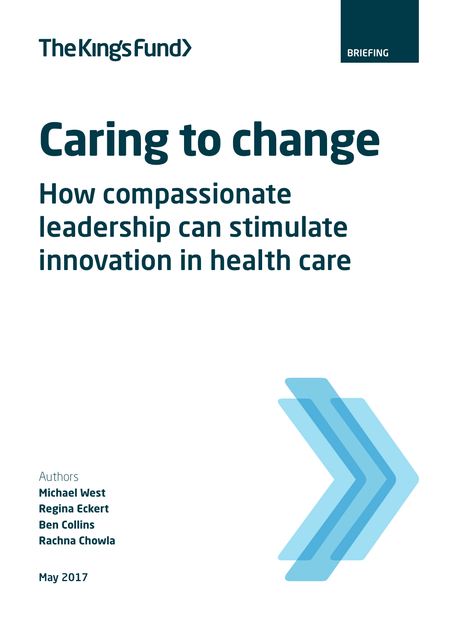BRIEFING

# **Caring to change**

## How compassionate leadership can stimulate innovation in health care

Authors

**Michael West Regina Eckert Ben Collins Rachna Chowla**

May 2017

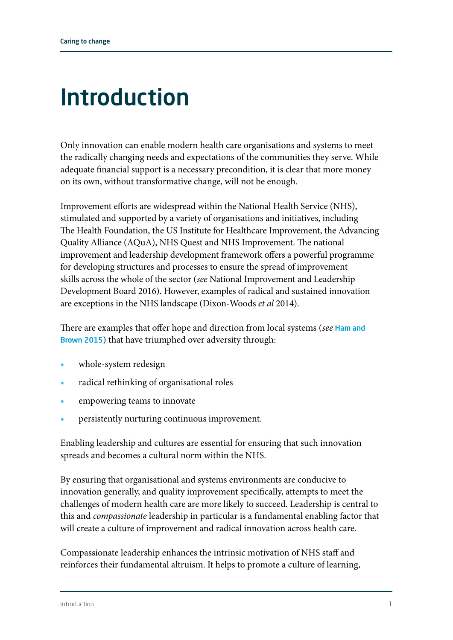### Introduction

Only innovation can enable modern health care organisations and systems to meet the radically changing needs and expectations of the communities they serve. While adequate financial support is a necessary precondition, it is clear that more money on its own, without transformative change, will not be enough.

Improvement efforts are widespread within the National Health Service (NHS), stimulated and supported by a variety of organisations and initiatives, including The Health Foundation, the US Institute for Healthcare Improvement, the Advancing Quality Alliance (AQuA), NHS Quest and NHS Improvement. The national improvement and leadership development framework offers a powerful programme for developing structures and processes to ensure the spread of improvement skills across the whole of the sector (*see* National Improvement and Leadership Development Board 2016). However, examples of radical and sustained innovation are exceptions in the NHS landscape (Dixon-Woods *et al* 2014).

There are examples that offer hope and direction from local systems (*see* [Ham and](http://www.kingsfund.org.uk/reports/thefutureisnow/)  [Brown 2015](http://www.kingsfund.org.uk/reports/thefutureisnow/)) that have triumphed over adversity through:

- **•** whole-system redesign
- **•** radical rethinking of organisational roles
- **•** empowering teams to innovate
- **•** persistently nurturing continuous improvement.

Enabling leadership and cultures are essential for ensuring that such innovation spreads and becomes a cultural norm within the NHS.

By ensuring that organisational and systems environments are conducive to innovation generally, and quality improvement specifically, attempts to meet the challenges of modern health care are more likely to succeed. Leadership is central to this and *compassionate* leadership in particular is a fundamental enabling factor that will create a culture of improvement and radical innovation across health care.

Compassionate leadership enhances the intrinsic motivation of NHS staff and reinforces their fundamental altruism. It helps to promote a culture of learning,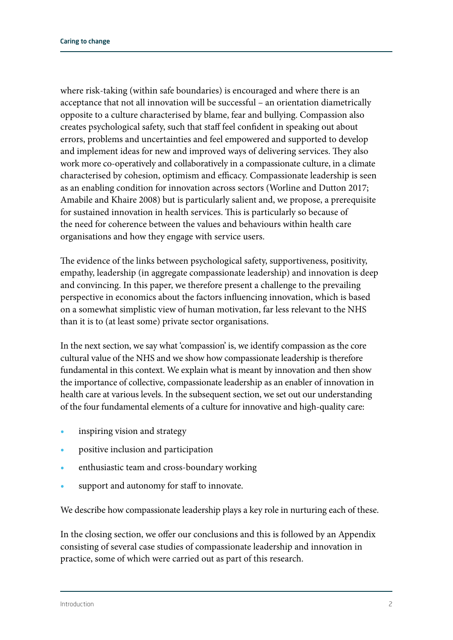where risk-taking (within safe boundaries) is encouraged and where there is an acceptance that not all innovation will be successful – an orientation diametrically opposite to a culture characterised by blame, fear and bullying. Compassion also creates psychological safety, such that staff feel confident in speaking out about errors, problems and uncertainties and feel empowered and supported to develop and implement ideas for new and improved ways of delivering services. They also work more co-operatively and collaboratively in a compassionate culture, in a climate characterised by cohesion, optimism and efficacy. Compassionate leadership is seen as an enabling condition for innovation across sectors (Worline and Dutton 2017; Amabile and Khaire 2008) but is particularly salient and, we propose, a prerequisite for sustained innovation in health services. This is particularly so because of the need for coherence between the values and behaviours within health care organisations and how they engage with service users.

The evidence of the links between psychological safety, supportiveness, positivity, empathy, leadership (in aggregate compassionate leadership) and innovation is deep and convincing. In this paper, we therefore present a challenge to the prevailing perspective in economics about the factors influencing innovation, which is based on a somewhat simplistic view of human motivation, far less relevant to the NHS than it is to (at least some) private sector organisations.

In the next section, we say what 'compassion' is, we identify compassion as the core cultural value of the NHS and we show how compassionate leadership is therefore fundamental in this context. We explain what is meant by innovation and then show the importance of collective, compassionate leadership as an enabler of innovation in health care at various levels. In the subsequent section, we set out our understanding of the four fundamental elements of a culture for innovative and high-quality care:

- **•** inspiring vision and strategy
- **•** positive inclusion and participation
- **•** enthusiastic team and cross-boundary working
- **•** support and autonomy for staff to innovate.

We describe how compassionate leadership plays a key role in nurturing each of these.

In the closing section, we offer our conclusions and this is followed by an Appendix consisting of several case studies of compassionate leadership and innovation in practice, some of which were carried out as part of this research.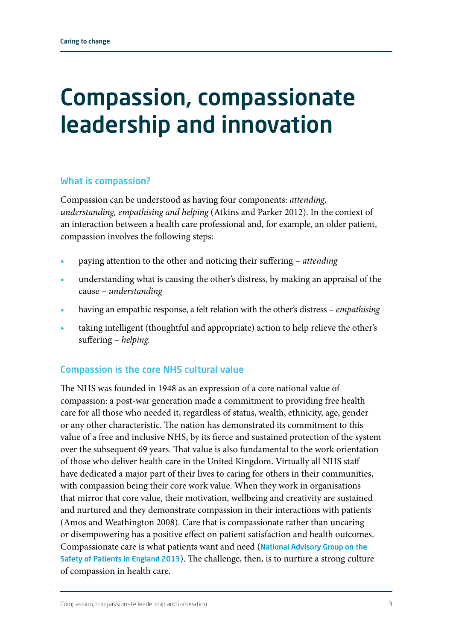### Compassion, compassionate leadership and innovation

### What is compassion?

Compassion can be understood as having four components: *attending, understanding, empathising and helping* (Atkins and Parker 2012). In the context of an interaction between a health care professional and, for example, an older patient, compassion involves the following steps:

- **•** paying attention to the other and noticing their suffering *attending*
- **•** understanding what is causing the other's distress, by making an appraisal of the cause – *understanding*
- **•** having an empathic response, a felt relation with the other's distress *empathising*
- **•** taking intelligent (thoughtful and appropriate) action to help relieve the other's suffering – *helping.*

### Compassion is the core NHS cultural value

The NHS was founded in 1948 as an expression of a core national value of compassion: a post-war generation made a commitment to providing free health care for all those who needed it, regardless of status, wealth, ethnicity, age, gender or any other characteristic. The nation has demonstrated its commitment to this value of a free and inclusive NHS, by its fierce and sustained protection of the system over the subsequent 69 years. That value is also fundamental to the work orientation of those who deliver health care in the United Kingdom. Virtually all NHS staff have dedicated a major part of their lives to caring for others in their communities, with compassion being their core work value. When they work in organisations that mirror that core value, their motivation, wellbeing and creativity are sustained and nurtured and they demonstrate compassion in their interactions with patients (Amos and Weathington 2008). Care that is compassionate rather than uncaring or disempowering has a positive effect on patient satisfaction and health outcomes. Compassionate care is what patients want and need ([National Advisory Group on the](http://www.gov.uk/government/publications/berwick-review-into-patient-safety)  [Safety of Patients in England 2013](http://www.gov.uk/government/publications/berwick-review-into-patient-safety)). The challenge, then, is to nurture a strong culture of compassion in health care.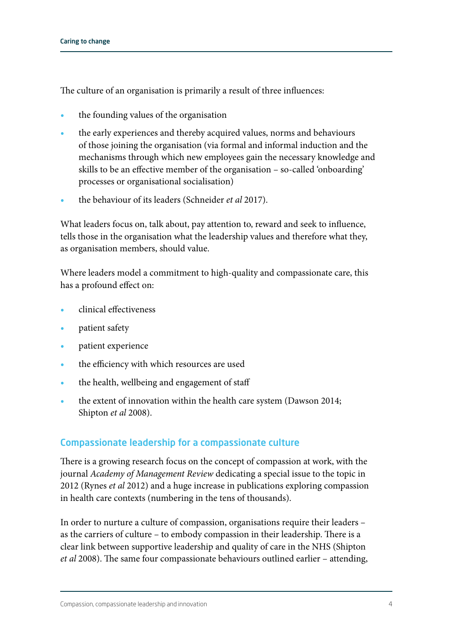The culture of an organisation is primarily a result of three influences:

- **•** the founding values of the organisation
- **•** the early experiences and thereby acquired values, norms and behaviours of those joining the organisation (via formal and informal induction and the mechanisms through which new employees gain the necessary knowledge and skills to be an effective member of the organisation – so-called 'onboarding' processes or organisational socialisation)
- **•** the behaviour of its leaders (Schneider *et al* 2017).

What leaders focus on, talk about, pay attention to, reward and seek to influence, tells those in the organisation what the leadership values and therefore what they, as organisation members, should value.

Where leaders model a commitment to high-quality and compassionate care, this has a profound effect on:

- **•** clinical effectiveness
- **•** patient safety
- **•** patient experience
- **•** the efficiency with which resources are used
- **•** the health, wellbeing and engagement of staff
- **•** the extent of innovation within the health care system (Dawson 2014; Shipton *et al* 2008).

### Compassionate leadership for a compassionate culture

There is a growing research focus on the concept of compassion at work, with the journal *Academy of Management Review* dedicating a special issue to the topic in 2012 (Rynes *et al* 2012) and a huge increase in publications exploring compassion in health care contexts (numbering in the tens of thousands).

In order to nurture a culture of compassion, organisations require their leaders – as the carriers of culture – to embody compassion in their leadership. There is a clear link between supportive leadership and quality of care in the NHS (Shipton *et al* 2008). The same four compassionate behaviours outlined earlier – attending,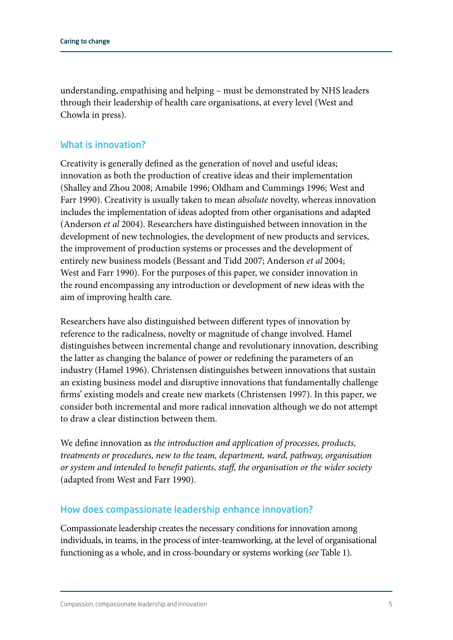understanding, empathising and helping – must be demonstrated by NHS leaders through their leadership of health care organisations, at every level (West and Chowla in press).

### What is innovation?

Creativity is generally defined as the generation of novel and useful ideas; innovation as both the production of creative ideas and their implementation (Shalley and Zhou 2008; Amabile 1996; Oldham and Cummings 1996; West and Farr 1990). Creativity is usually taken to mean *absolute* novelty, whereas innovation includes the implementation of ideas adopted from other organisations and adapted (Anderson *et al* 2004). Researchers have distinguished between innovation in the development of new technologies, the development of new products and services, the improvement of production systems or processes and the development of entirely new business models (Bessant and Tidd 2007; Anderson *et al* 2004; West and Farr 1990). For the purposes of this paper, we consider innovation in the round encompassing any introduction or development of new ideas with the aim of improving health care.

Researchers have also distinguished between different types of innovation by reference to the radicalness, novelty or magnitude of change involved. Hamel distinguishes between incremental change and revolutionary innovation, describing the latter as changing the balance of power or redefining the parameters of an industry (Hamel 1996). Christensen distinguishes between innovations that sustain an existing business model and disruptive innovations that fundamentally challenge firms' existing models and create new markets (Christensen 1997). In this paper, we consider both incremental and more radical innovation although we do not attempt to draw a clear distinction between them.

We define innovation as *the introduction and application of processes, products, treatments or procedures, new to the team, department, ward, pathway, organisation or system and intended to benefit patients, staff, the organisation or the wider society* (adapted from West and Farr 1990).

### How does compassionate leadership enhance innovation?

Compassionate leadership creates the necessary conditions for innovation among individuals, in teams, in the process of inter-teamworking, at the level of organisational functioning as a whole, and in cross-boundary or systems working (*see* Table 1).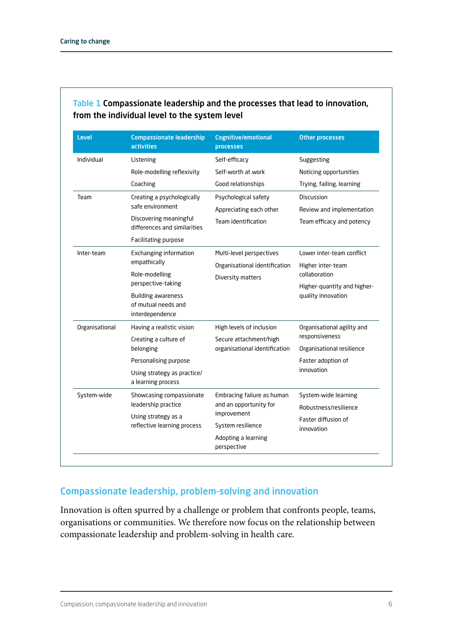| <b>Level</b>   | <b>Compassionate leadership</b><br><b>activities</b>   | <b>Cognitive/emotional</b><br>processes | <b>Other processes</b>                                                                                        |  |  |
|----------------|--------------------------------------------------------|-----------------------------------------|---------------------------------------------------------------------------------------------------------------|--|--|
| Individual     | Listening                                              | Self-efficacy                           | Suggesting<br>Noticing opportunities                                                                          |  |  |
|                | Role-modelling reflexivity                             | Self-worth at work                      |                                                                                                               |  |  |
|                | Coaching                                               | Good relationships                      | Trying, failing, learning                                                                                     |  |  |
| Team           | Creating a psychologically                             | Psychological safety                    | Discussion                                                                                                    |  |  |
|                | safe environment                                       | Appreciating each other                 | Review and implementation                                                                                     |  |  |
|                | Discovering meaningful<br>differences and similarities | Team identification                     | Team efficacy and potency                                                                                     |  |  |
|                | Facilitating purpose                                   |                                         |                                                                                                               |  |  |
| Inter-team     | <b>Exchanging information</b>                          | Multi-level perspectives                | Lower inter-team conflict<br>Higher inter-team<br>collaboration                                               |  |  |
|                | empathically                                           | Organisational identification           |                                                                                                               |  |  |
|                | Role-modelling                                         | Diversity matters                       |                                                                                                               |  |  |
|                | perspective-taking                                     |                                         | Higher-quantity and higher-                                                                                   |  |  |
|                | <b>Building awareness</b><br>of mutual needs and       |                                         | quality innovation                                                                                            |  |  |
|                | interdependence                                        |                                         |                                                                                                               |  |  |
| Organisational | Having a realistic vision                              | High levels of inclusion                | Organisational agility and<br>responsiveness<br>Organisational resilience<br>Faster adoption of<br>innovation |  |  |
|                | Creating a culture of                                  | Secure attachment/high                  |                                                                                                               |  |  |
|                | belonging                                              | organisational identification           |                                                                                                               |  |  |
|                | Personalising purpose                                  |                                         |                                                                                                               |  |  |
|                | Using strategy as practice/<br>a learning process      |                                         |                                                                                                               |  |  |
| System-wide    | Showcasing compassionate                               | Embracing failure as human              | System-wide learning                                                                                          |  |  |
|                | leadership practice                                    | and an opportunity for                  | Robustness/resilience                                                                                         |  |  |
|                | Using strategy as a                                    | improvement                             | Faster diffusion of<br>innovation                                                                             |  |  |
|                | reflective learning process                            | System resilience                       |                                                                                                               |  |  |
|                |                                                        | Adopting a learning<br>perspective      |                                                                                                               |  |  |

### Table 1 Compassionate leadership and the processes that lead to innovation, from the individual level to the system level

### Compassionate leadership, problem-solving and innovation

Innovation is often spurred by a challenge or problem that confronts people, teams, organisations or communities. We therefore now focus on the relationship between compassionate leadership and problem-solving in health care.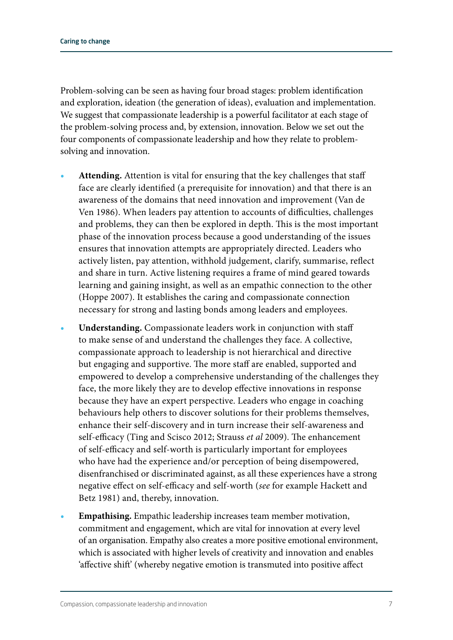Problem-solving can be seen as having four broad stages: problem identification and exploration, ideation (the generation of ideas), evaluation and implementation. We suggest that compassionate leadership is a powerful facilitator at each stage of the problem-solving process and, by extension, innovation. Below we set out the four components of compassionate leadership and how they relate to problemsolving and innovation.

- **• Attending.** Attention is vital for ensuring that the key challenges that staff face are clearly identified (a prerequisite for innovation) and that there is an awareness of the domains that need innovation and improvement (Van de Ven 1986). When leaders pay attention to accounts of difficulties, challenges and problems, they can then be explored in depth. This is the most important phase of the innovation process because a good understanding of the issues ensures that innovation attempts are appropriately directed. Leaders who actively listen, pay attention, withhold judgement, clarify, summarise, reflect and share in turn. Active listening requires a frame of mind geared towards learning and gaining insight, as well as an empathic connection to the other (Hoppe 2007). It establishes the caring and compassionate connection necessary for strong and lasting bonds among leaders and employees.
- **• Understanding.** Compassionate leaders work in conjunction with staff to make sense of and understand the challenges they face. A collective, compassionate approach to leadership is not hierarchical and directive but engaging and supportive. The more staff are enabled, supported and empowered to develop a comprehensive understanding of the challenges they face, the more likely they are to develop effective innovations in response because they have an expert perspective. Leaders who engage in coaching behaviours help others to discover solutions for their problems themselves, enhance their self-discovery and in turn increase their self-awareness and self-efficacy (Ting and Scisco 2012; Strauss *et al* 2009). The enhancement of self-efficacy and self-worth is particularly important for employees who have had the experience and/or perception of being disempowered, disenfranchised or discriminated against, as all these experiences have a strong negative effect on self-efficacy and self-worth (*see* for example Hackett and Betz 1981) and, thereby, innovation.
- **• Empathising.** Empathic leadership increases team member motivation, commitment and engagement, which are vital for innovation at every level of an organisation. Empathy also creates a more positive emotional environment, which is associated with higher levels of creativity and innovation and enables 'affective shift' (whereby negative emotion is transmuted into positive affect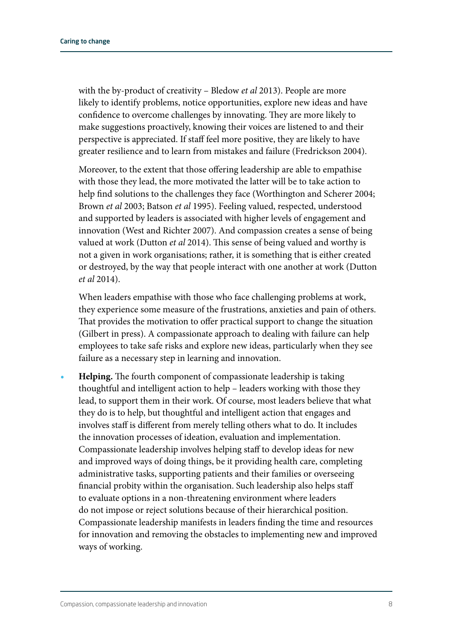with the by-product of creativity – Bledow *et al* 2013). People are more likely to identify problems, notice opportunities, explore new ideas and have confidence to overcome challenges by innovating. They are more likely to make suggestions proactively, knowing their voices are listened to and their perspective is appreciated. If staff feel more positive, they are likely to have greater resilience and to learn from mistakes and failure (Fredrickson 2004).

Moreover, to the extent that those offering leadership are able to empathise with those they lead, the more motivated the latter will be to take action to help find solutions to the challenges they face (Worthington and Scherer 2004; Brown *et al* 2003; Batson *et al* 1995). Feeling valued, respected, understood and supported by leaders is associated with higher levels of engagement and innovation (West and Richter 2007). And compassion creates a sense of being valued at work (Dutton *et al* 2014). This sense of being valued and worthy is not a given in work organisations; rather, it is something that is either created or destroyed, by the way that people interact with one another at work (Dutton *et al* 2014).

When leaders empathise with those who face challenging problems at work, they experience some measure of the frustrations, anxieties and pain of others. That provides the motivation to offer practical support to change the situation (Gilbert in press). A compassionate approach to dealing with failure can help employees to take safe risks and explore new ideas, particularly when they see failure as a necessary step in learning and innovation.

**• Helping.** The fourth component of compassionate leadership is taking thoughtful and intelligent action to help – leaders working with those they lead, to support them in their work. Of course, most leaders believe that what they do is to help, but thoughtful and intelligent action that engages and involves staff is different from merely telling others what to do. It includes the innovation processes of ideation, evaluation and implementation. Compassionate leadership involves helping staff to develop ideas for new and improved ways of doing things, be it providing health care, completing administrative tasks, supporting patients and their families or overseeing financial probity within the organisation. Such leadership also helps staff to evaluate options in a non-threatening environment where leaders do not impose or reject solutions because of their hierarchical position. Compassionate leadership manifests in leaders finding the time and resources for innovation and removing the obstacles to implementing new and improved ways of working.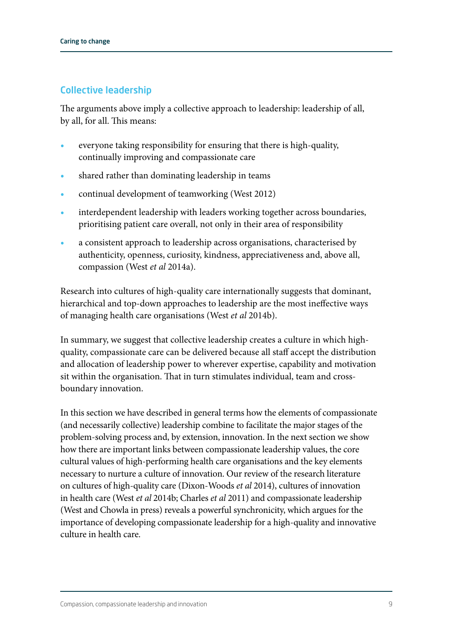### Collective leadership

The arguments above imply a collective approach to leadership: leadership of all, by all, for all. This means:

- **•** everyone taking responsibility for ensuring that there is high-quality, continually improving and compassionate care
- shared rather than dominating leadership in teams
- **•** continual development of teamworking (West 2012)
- **•** interdependent leadership with leaders working together across boundaries, prioritising patient care overall, not only in their area of responsibility
- **•** a consistent approach to leadership across organisations, characterised by authenticity, openness, curiosity, kindness, appreciativeness and, above all, compassion (West *et al* 2014a).

Research into cultures of high-quality care internationally suggests that dominant, hierarchical and top-down approaches to leadership are the most ineffective ways of managing health care organisations (West *et al* 2014b).

In summary, we suggest that collective leadership creates a culture in which highquality, compassionate care can be delivered because all staff accept the distribution and allocation of leadership power to wherever expertise, capability and motivation sit within the organisation. That in turn stimulates individual, team and crossboundary innovation.

In this section we have described in general terms how the elements of compassionate (and necessarily collective) leadership combine to facilitate the major stages of the problem-solving process and, by extension, innovation. In the next section we show how there are important links between compassionate leadership values, the core cultural values of high-performing health care organisations and the key elements necessary to nurture a culture of innovation. Our review of the research literature on cultures of high-quality care (Dixon-Woods *et al* 2014), cultures of innovation in health care (West *et al* 2014b; Charles *et al* 2011) and compassionate leadership (West and Chowla in press) reveals a powerful synchronicity, which argues for the importance of developing compassionate leadership for a high-quality and innovative culture in health care.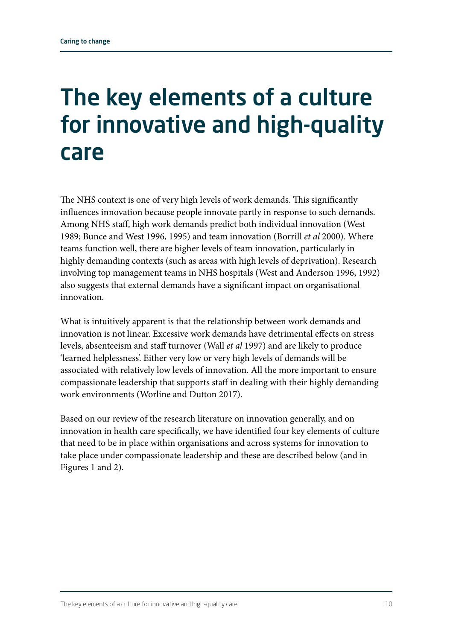### The key elements of a culture for innovative and high-quality care

The NHS context is one of very high levels of work demands. This significantly influences innovation because people innovate partly in response to such demands. Among NHS staff, high work demands predict both individual innovation (West 1989; Bunce and West 1996, 1995) and team innovation (Borrill *et al* 2000). Where teams function well, there are higher levels of team innovation, particularly in highly demanding contexts (such as areas with high levels of deprivation). Research involving top management teams in NHS hospitals (West and Anderson 1996, 1992) also suggests that external demands have a significant impact on organisational innovation.

What is intuitively apparent is that the relationship between work demands and innovation is not linear. Excessive work demands have detrimental effects on stress levels, absenteeism and staff turnover (Wall *et al* 1997) and are likely to produce 'learned helplessness'. Either very low or very high levels of demands will be associated with relatively low levels of innovation. All the more important to ensure compassionate leadership that supports staff in dealing with their highly demanding work environments (Worline and Dutton 2017).

Based on our review of the research literature on innovation generally, and on innovation in health care specifically, we have identified four key elements of culture that need to be in place within organisations and across systems for innovation to take place under compassionate leadership and these are described below (and in Figures 1 and 2).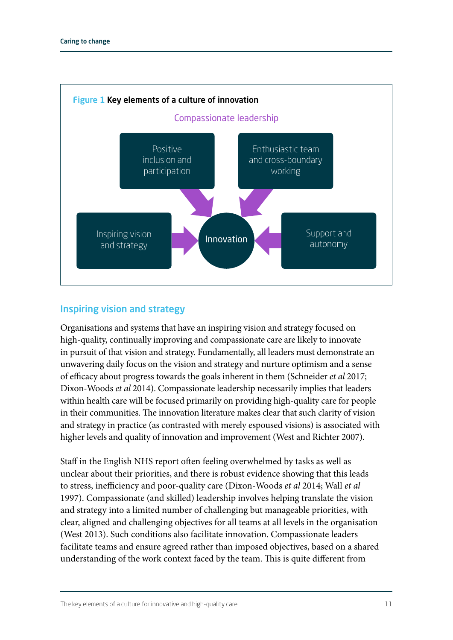

### Inspiring vision and strategy

Organisations and systems that have an inspiring vision and strategy focused on high-quality, continually improving and compassionate care are likely to innovate in pursuit of that vision and strategy. Fundamentally, all leaders must demonstrate an unwavering daily focus on the vision and strategy and nurture optimism and a sense of efficacy about progress towards the goals inherent in them (Schneider *et al* 2017; Dixon-Woods *et al* 2014). Compassionate leadership necessarily implies that leaders within health care will be focused primarily on providing high-quality care for people in their communities. The innovation literature makes clear that such clarity of vision and strategy in practice (as contrasted with merely espoused visions) is associated with higher levels and quality of innovation and improvement (West and Richter 2007).

Staff in the English NHS report often feeling overwhelmed by tasks as well as unclear about their priorities, and there is robust evidence showing that this leads to stress, inefficiency and poor-quality care (Dixon-Woods *et al* 2014; Wall *et al* 1997). Compassionate (and skilled) leadership involves helping translate the vision and strategy into a limited number of challenging but manageable priorities, with clear, aligned and challenging objectives for all teams at all levels in the organisation (West 2013). Such conditions also facilitate innovation. Compassionate leaders facilitate teams and ensure agreed rather than imposed objectives, based on a shared understanding of the work context faced by the team. This is quite different from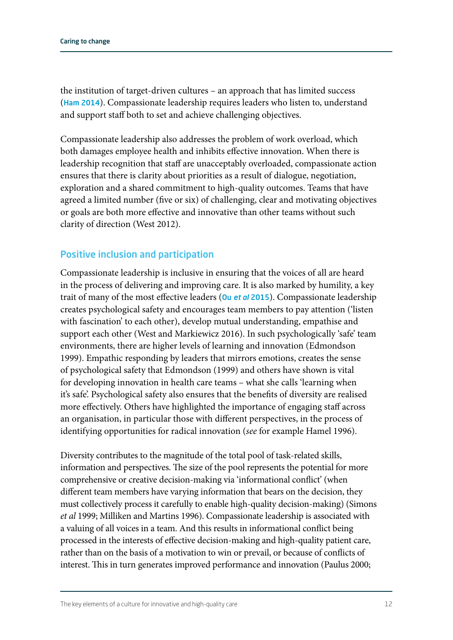the institution of target-driven cultures – an approach that has limited success (Ham [2014](http://www.kingsfund.org.uk/time-to-think-differently/publications/reforming-nhs-within)). Compassionate leadership requires leaders who listen to, understand and support staff both to set and achieve challenging objectives.

Compassionate leadership also addresses the problem of work overload, which both damages employee health and inhibits effective innovation. When there is leadership recognition that staff are unacceptably overloaded, compassionate action ensures that there is clarity about priorities as a result of dialogue, negotiation, exploration and a shared commitment to high-quality outcomes. Teams that have agreed a limited number (five or six) of challenging, clear and motivating objectives or goals are both more effective and innovative than other teams without such clarity of direction (West 2012).

### Positive inclusion and participation

Compassionate leadership is inclusive in ensuring that the voices of all are heard in the process of delivering and improving care. It is also marked by humility, a key trait of many of the most effective leaders (Ou *[et al](http://journals.sagepub.com/doi/abs/10.1177/0149206315604187)* 2015). Compassionate leadership creates psychological safety and encourages team members to pay attention ('listen with fascination' to each other), develop mutual understanding, empathise and support each other (West and Markiewicz 2016). In such psychologically 'safe' team environments, there are higher levels of learning and innovation (Edmondson 1999). Empathic responding by leaders that mirrors emotions, creates the sense of psychological safety that Edmondson (1999) and others have shown is vital for developing innovation in health care teams – what she calls 'learning when it's safe'. Psychological safety also ensures that the benefits of diversity are realised more effectively. Others have highlighted the importance of engaging staff across an organisation, in particular those with different perspectives, in the process of identifying opportunities for radical innovation (*see* for example Hamel 1996).

Diversity contributes to the magnitude of the total pool of task-related skills, information and perspectives. The size of the pool represents the potential for more comprehensive or creative decision-making via 'informational conflict' (when different team members have varying information that bears on the decision, they must collectively process it carefully to enable high-quality decision-making) (Simons *et al* 1999; Milliken and Martins 1996). Compassionate leadership is associated with a valuing of all voices in a team. And this results in informational conflict being processed in the interests of effective decision-making and high-quality patient care, rather than on the basis of a motivation to win or prevail, or because of conflicts of interest. This in turn generates improved performance and innovation (Paulus 2000;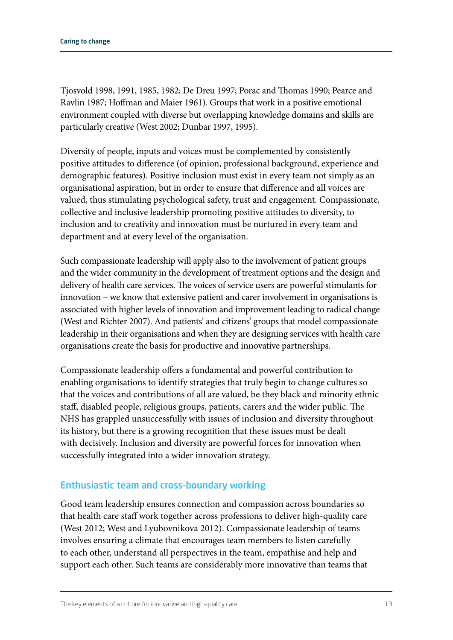Tjosvold 1998, 1991, 1985, 1982; De Dreu 1997; Porac and Thomas 1990; Pearce and Ravlin 1987; Hoffman and Maier 1961). Groups that work in a positive emotional environment coupled with diverse but overlapping knowledge domains and skills are particularly creative (West 2002; Dunbar 1997, 1995).

Diversity of people, inputs and voices must be complemented by consistently positive attitudes to difference (of opinion, professional background, experience and demographic features). Positive inclusion must exist in every team not simply as an organisational aspiration, but in order to ensure that difference and all voices are valued, thus stimulating psychological safety, trust and engagement. Compassionate, collective and inclusive leadership promoting positive attitudes to diversity, to inclusion and to creativity and innovation must be nurtured in every team and department and at every level of the organisation.

Such compassionate leadership will apply also to the involvement of patient groups and the wider community in the development of treatment options and the design and delivery of health care services. The voices of service users are powerful stimulants for innovation – we know that extensive patient and carer involvement in organisations is associated with higher levels of innovation and improvement leading to radical change (West and Richter 2007). And patients' and citizens' groups that model compassionate leadership in their organisations and when they are designing services with health care organisations create the basis for productive and innovative partnerships.

Compassionate leadership offers a fundamental and powerful contribution to enabling organisations to identify strategies that truly begin to change cultures so that the voices and contributions of all are valued, be they black and minority ethnic staff, disabled people, religious groups, patients, carers and the wider public. The NHS has grappled unsuccessfully with issues of inclusion and diversity throughout its history, but there is a growing recognition that these issues must be dealt with decisively. Inclusion and diversity are powerful forces for innovation when successfully integrated into a wider innovation strategy.

### Enthusiastic team and cross-boundary working

Good team leadership ensures connection and compassion across boundaries so that health care staff work together across professions to deliver high-quality care (West 2012; West and Lyubovnikova 2012). Compassionate leadership of teams involves ensuring a climate that encourages team members to listen carefully to each other, understand all perspectives in the team, empathise and help and support each other. Such teams are considerably more innovative than teams that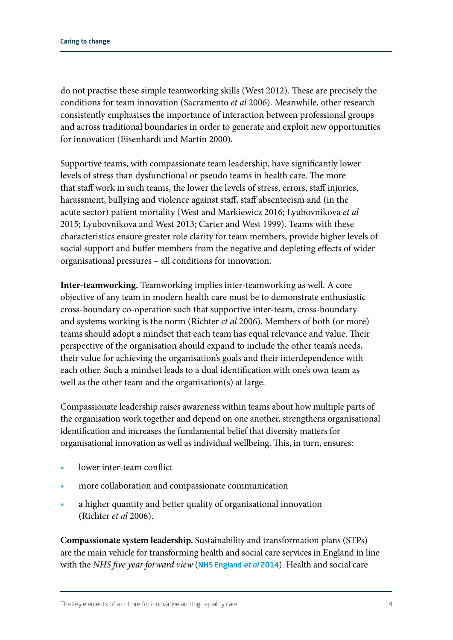do not practise these simple teamworking skills (West 2012). These are precisely the conditions for team innovation (Sacramento *et al* 2006). Meanwhile, other research consistently emphasises the importance of interaction between professional groups and across traditional boundaries in order to generate and exploit new opportunities for innovation (Eisenhardt and Martin 2000).

Supportive teams, with compassionate team leadership, have significantly lower levels of stress than dysfunctional or pseudo teams in health care. The more that staff work in such teams, the lower the levels of stress, errors, staff injuries, harassment, bullying and violence against staff, staff absenteeism and (in the acute sector) patient mortality (West and Markiewicz 2016; Lyubovnikova *et al* 2015; Lyubovnikova and West 2013; Carter and West 1999). Teams with these characteristics ensure greater role clarity for team members, provide higher levels of social support and buffer members from the negative and depleting effects of wider organisational pressures – all conditions for innovation.

**Inter-teamworking.** Teamworking implies inter-teamworking as well. A core objective of any team in modern health care must be to demonstrate enthusiastic cross-boundary co-operation such that supportive inter-team, cross-boundary and systems working is the norm (Richter *et al* 2006). Members of both (or more) teams should adopt a mindset that each team has equal relevance and value. Their perspective of the organisation should expand to include the other team's needs, their value for achieving the organisation's goals and their interdependence with each other. Such a mindset leads to a dual identification with one's own team as well as the other team and the organisation(s) at large.

Compassionate leadership raises awareness within teams about how multiple parts of the organisation work together and depend on one another, strengthens organisational identification and increases the fundamental belief that diversity matters for organisational innovation as well as individual wellbeing. This, in turn, ensures:

- **•** lower inter-team conflict
- **•** more collaboration and compassionate communication
- **•** a higher quantity and better quality of organisational innovation (Richter *et al* 2006).

**Compassionate system leadership.** Sustainability and transformation plans (STPs) are the main vehicle for transforming health and social care services in England in line with the *NHS five year forward view* ([NHS England](http://www.england.nhs.uk/ourwork/futurenhs/) et al 2014). Health and social care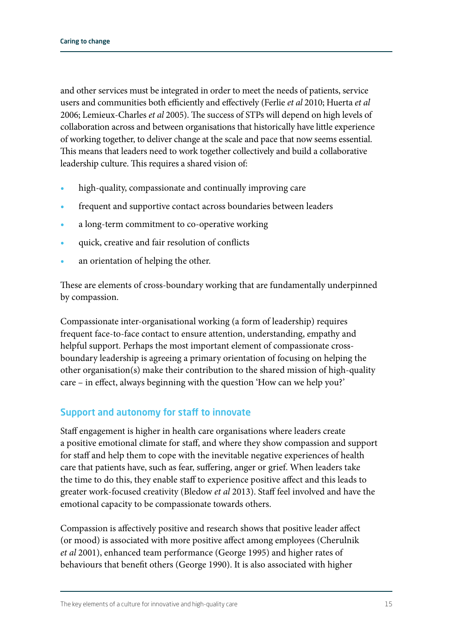and other services must be integrated in order to meet the needs of patients, service users and communities both efficiently and effectively (Ferlie *et al* 2010; Huerta *et al* 2006; Lemieux-Charles *et al* 2005). The success of STPs will depend on high levels of collaboration across and between organisations that historically have little experience of working together, to deliver change at the scale and pace that now seems essential. This means that leaders need to work together collectively and build a collaborative leadership culture. This requires a shared vision of:

- **•** high-quality, compassionate and continually improving care
- **•** frequent and supportive contact across boundaries between leaders
- **•** a long-term commitment to co-operative working
- **•** quick, creative and fair resolution of conflicts
- **•** an orientation of helping the other.

These are elements of cross-boundary working that are fundamentally underpinned by compassion.

Compassionate inter-organisational working (a form of leadership) requires frequent face-to-face contact to ensure attention, understanding, empathy and helpful support. Perhaps the most important element of compassionate crossboundary leadership is agreeing a primary orientation of focusing on helping the other organisation(s) make their contribution to the shared mission of high-quality care – in effect, always beginning with the question 'How can we help you?'

### Support and autonomy for staff to innovate

Staff engagement is higher in health care organisations where leaders create a positive emotional climate for staff, and where they show compassion and support for staff and help them to cope with the inevitable negative experiences of health care that patients have, such as fear, suffering, anger or grief. When leaders take the time to do this, they enable staff to experience positive affect and this leads to greater work-focused creativity (Bledow *et al* 2013). Staff feel involved and have the emotional capacity to be compassionate towards others.

Compassion is affectively positive and research shows that positive leader affect (or mood) is associated with more positive affect among employees (Cherulnik *et al* 2001), enhanced team performance (George 1995) and higher rates of behaviours that benefit others (George 1990). It is also associated with higher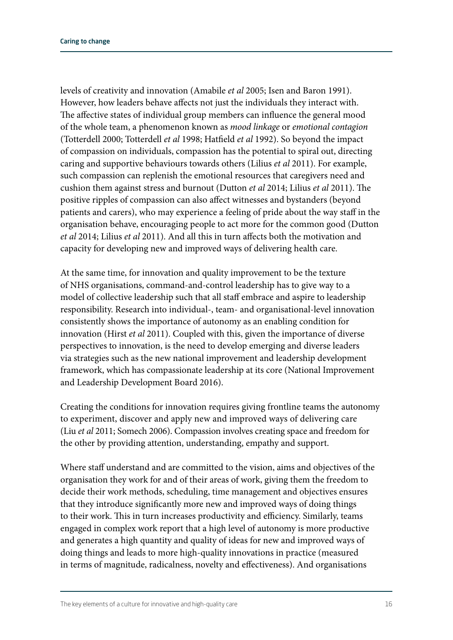levels of creativity and innovation (Amabile *et al* 2005; Isen and Baron 1991). However, how leaders behave affects not just the individuals they interact with. The affective states of individual group members can influence the general mood of the whole team, a phenomenon known as *mood linkage* or *emotional contagion* (Totterdell 2000; Totterdell *et al* 1998; Hatfield *et al* 1992). So beyond the impact of compassion on individuals, compassion has the potential to spiral out, directing caring and supportive behaviours towards others (Lilius *et al* 2011). For example, such compassion can replenish the emotional resources that caregivers need and cushion them against stress and burnout (Dutton *et al* 2014; Lilius *et al* 2011). The positive ripples of compassion can also affect witnesses and bystanders (beyond patients and carers), who may experience a feeling of pride about the way staff in the organisation behave, encouraging people to act more for the common good (Dutton *et al* 2014; Lilius *et al* 2011). And all this in turn affects both the motivation and capacity for developing new and improved ways of delivering health care.

At the same time, for innovation and quality improvement to be the texture of NHS organisations, command-and-control leadership has to give way to a model of collective leadership such that all staff embrace and aspire to leadership responsibility. Research into individual-, team- and organisational-level innovation consistently shows the importance of autonomy as an enabling condition for innovation (Hirst *et al* 2011). Coupled with this, given the importance of diverse perspectives to innovation, is the need to develop emerging and diverse leaders via strategies such as the new national improvement and leadership development framework, which has compassionate leadership at its core (National Improvement and Leadership Development Board 2016).

Creating the conditions for innovation requires giving frontline teams the autonomy to experiment, discover and apply new and improved ways of delivering care (Liu *et al* 2011; Somech 2006). Compassion involves creating space and freedom for the other by providing attention, understanding, empathy and support.

Where staff understand and are committed to the vision, aims and objectives of the organisation they work for and of their areas of work, giving them the freedom to decide their work methods, scheduling, time management and objectives ensures that they introduce significantly more new and improved ways of doing things to their work. This in turn increases productivity and efficiency. Similarly, teams engaged in complex work report that a high level of autonomy is more productive and generates a high quantity and quality of ideas for new and improved ways of doing things and leads to more high-quality innovations in practice (measured in terms of magnitude, radicalness, novelty and effectiveness). And organisations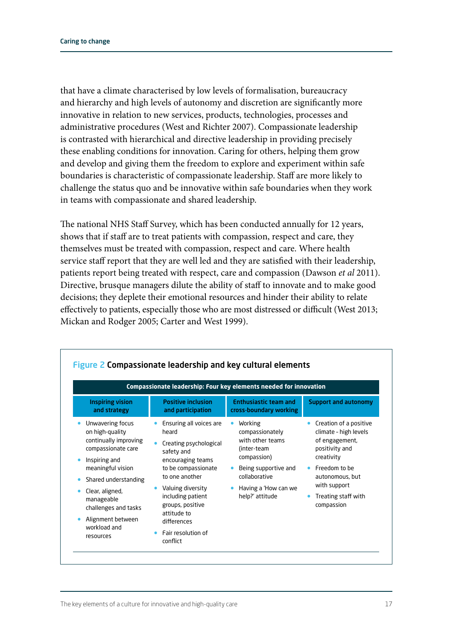that have a climate characterised by low levels of formalisation, bureaucracy and hierarchy and high levels of autonomy and discretion are significantly more innovative in relation to new services, products, technologies, processes and administrative procedures (West and Richter 2007). Compassionate leadership is contrasted with hierarchical and directive leadership in providing precisely these enabling conditions for innovation. Caring for others, helping them grow and develop and giving them the freedom to explore and experiment within safe boundaries is characteristic of compassionate leadership. Staff are more likely to challenge the status quo and be innovative within safe boundaries when they work in teams with compassionate and shared leadership.

The national NHS Staff Survey, which has been conducted annually for 12 years, shows that if staff are to treat patients with compassion, respect and care, they themselves must be treated with compassion, respect and care. Where health service staff report that they are well led and they are satisfied with their leadership, patients report being treated with respect, care and compassion (Dawson *et al* 2011). Directive, brusque managers dilute the ability of staff to innovate and to make good decisions; they deplete their emotional resources and hinder their ability to relate effectively to patients, especially those who are most distressed or difficult (West 2013; Mickan and Rodger 2005; Carter and West 1999).

| Compassionate leadership: Four key elements needed for innovation                  |  |                                                                           |           |                                                               |  |                                                                                     |  |  |  |  |
|------------------------------------------------------------------------------------|--|---------------------------------------------------------------------------|-----------|---------------------------------------------------------------|--|-------------------------------------------------------------------------------------|--|--|--|--|
| <b>Inspiring vision</b><br>and strategy                                            |  | <b>Positive inclusion</b><br>and participation                            |           | <b>Enthusiastic team and</b><br>cross-boundary working        |  | <b>Support and autonomy</b>                                                         |  |  |  |  |
| Unwavering focus<br>on high-quality<br>continually improving<br>compassionate care |  | Ensuring all voices are<br>heard<br>Creating psychological                |           | Working<br>compassionately<br>with other teams<br>(inter-team |  | Creation of a positive<br>climate - high levels<br>of engagement,<br>positivity and |  |  |  |  |
| Inspiring and<br>meaningful vision                                                 |  | safety and<br>encouraging teams<br>to be compassionate<br>to one another  |           | compassion)<br>Being supportive and<br>collaborative          |  | creativity<br>• Freedom to be<br>autonomous, but                                    |  |  |  |  |
| Shared understanding<br>Clear, aligned,<br>manageable<br>challenges and tasks      |  | Valuing diversity<br>including patient<br>groups, positive<br>attitude to | $\bullet$ | Having a 'How can we<br>help?' attitude                       |  | with support<br>Treating staff with<br>compassion                                   |  |  |  |  |
| Alignment between<br>workload and<br>resources                                     |  | differences<br><b>Fair resolution of</b><br>conflict                      |           |                                                               |  |                                                                                     |  |  |  |  |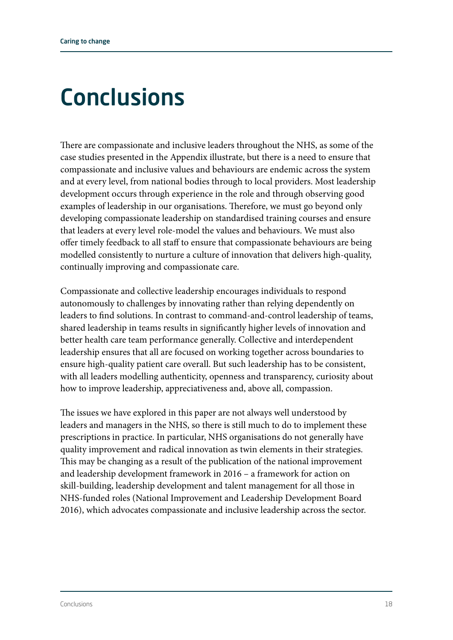### **Conclusions**

There are compassionate and inclusive leaders throughout the NHS, as some of the case studies presented in the Appendix illustrate, but there is a need to ensure that compassionate and inclusive values and behaviours are endemic across the system and at every level, from national bodies through to local providers. Most leadership development occurs through experience in the role and through observing good examples of leadership in our organisations. Therefore, we must go beyond only developing compassionate leadership on standardised training courses and ensure that leaders at every level role-model the values and behaviours. We must also offer timely feedback to all staff to ensure that compassionate behaviours are being modelled consistently to nurture a culture of innovation that delivers high-quality, continually improving and compassionate care.

Compassionate and collective leadership encourages individuals to respond autonomously to challenges by innovating rather than relying dependently on leaders to find solutions. In contrast to command-and-control leadership of teams, shared leadership in teams results in significantly higher levels of innovation and better health care team performance generally. Collective and interdependent leadership ensures that all are focused on working together across boundaries to ensure high-quality patient care overall. But such leadership has to be consistent, with all leaders modelling authenticity, openness and transparency, curiosity about how to improve leadership, appreciativeness and, above all, compassion.

The issues we have explored in this paper are not always well understood by leaders and managers in the NHS, so there is still much to do to implement these prescriptions in practice. In particular, NHS organisations do not generally have quality improvement and radical innovation as twin elements in their strategies. This may be changing as a result of the publication of the national improvement and leadership development framework in 2016 – a framework for action on skill-building, leadership development and talent management for all those in NHS-funded roles (National Improvement and Leadership Development Board 2016), which advocates compassionate and inclusive leadership across the sector.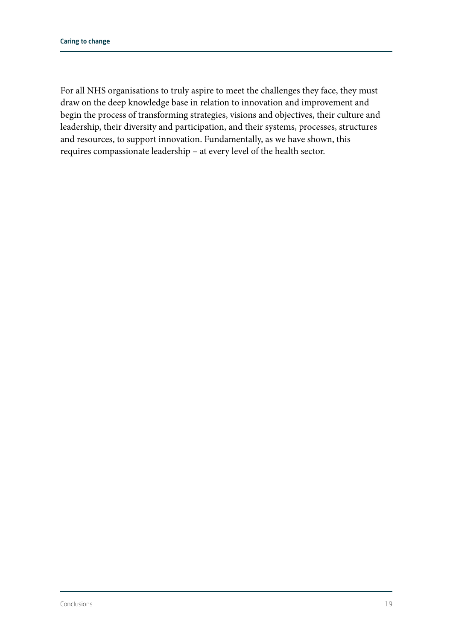For all NHS organisations to truly aspire to meet the challenges they face, they must draw on the deep knowledge base in relation to innovation and improvement and begin the process of transforming strategies, visions and objectives, their culture and leadership, their diversity and participation, and their systems, processes, structures and resources, to support innovation. Fundamentally, as we have shown, this requires compassionate leadership – at every level of the health sector.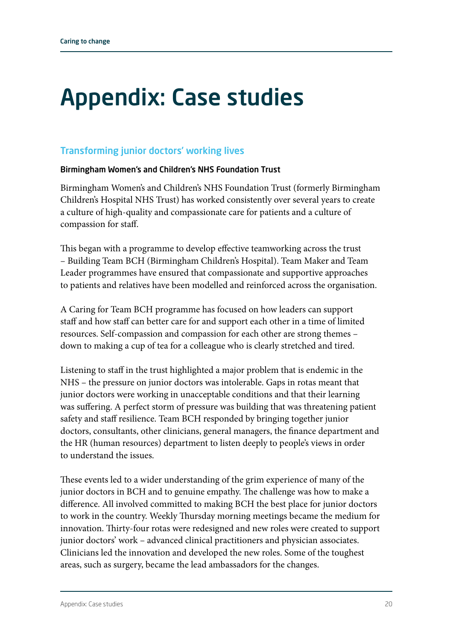### Appendix: Case studies

### Transforming junior doctors' working lives

### Birmingham Women's and Children's NHS Foundation Trust

Birmingham Women's and Children's NHS Foundation Trust (formerly Birmingham Children's Hospital NHS Trust) has worked consistently over several years to create a culture of high-quality and compassionate care for patients and a culture of compassion for staff.

This began with a programme to develop effective teamworking across the trust – Building Team BCH (Birmingham Children's Hospital). Team Maker and Team Leader programmes have ensured that compassionate and supportive approaches to patients and relatives have been modelled and reinforced across the organisation.

A Caring for Team BCH programme has focused on how leaders can support staff and how staff can better care for and support each other in a time of limited resources. Self-compassion and compassion for each other are strong themes – down to making a cup of tea for a colleague who is clearly stretched and tired.

Listening to staff in the trust highlighted a major problem that is endemic in the NHS – the pressure on junior doctors was intolerable. Gaps in rotas meant that junior doctors were working in unacceptable conditions and that their learning was suffering. A perfect storm of pressure was building that was threatening patient safety and staff resilience. Team BCH responded by bringing together junior doctors, consultants, other clinicians, general managers, the finance department and the HR (human resources) department to listen deeply to people's views in order to understand the issues.

These events led to a wider understanding of the grim experience of many of the junior doctors in BCH and to genuine empathy. The challenge was how to make a difference. All involved committed to making BCH the best place for junior doctors to work in the country. Weekly Thursday morning meetings became the medium for innovation. Thirty-four rotas were redesigned and new roles were created to support junior doctors' work – advanced clinical practitioners and physician associates. Clinicians led the innovation and developed the new roles. Some of the toughest areas, such as surgery, became the lead ambassadors for the changes.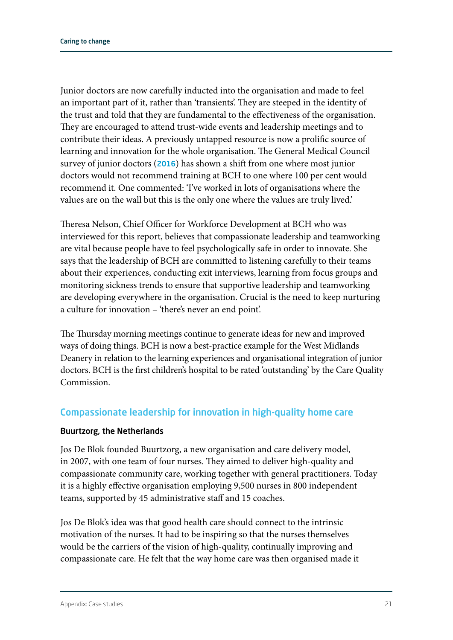Junior doctors are now carefully inducted into the organisation and made to feel an important part of it, rather than 'transients'. They are steeped in the identity of the trust and told that they are fundamental to the effectiveness of the organisation. They are encouraged to attend trust-wide events and leadership meetings and to contribute their ideas. A previously untapped resource is now a prolific source of learning and innovation for the whole organisation. The General Medical Council survey of junior doctors ([2016](http://www.gmc-uk.org/education/surveys.asp)) has shown a shift from one where most junior doctors would not recommend training at BCH to one where 100 per cent would recommend it. One commented: 'I've worked in lots of organisations where the values are on the wall but this is the only one where the values are truly lived.'

Theresa Nelson, Chief Officer for Workforce Development at BCH who was interviewed for this report, believes that compassionate leadership and teamworking are vital because people have to feel psychologically safe in order to innovate. She says that the leadership of BCH are committed to listening carefully to their teams about their experiences, conducting exit interviews, learning from focus groups and monitoring sickness trends to ensure that supportive leadership and teamworking are developing everywhere in the organisation. Crucial is the need to keep nurturing a culture for innovation – 'there's never an end point'.

The Thursday morning meetings continue to generate ideas for new and improved ways of doing things. BCH is now a best-practice example for the West Midlands Deanery in relation to the learning experiences and organisational integration of junior doctors. BCH is the first children's hospital to be rated 'outstanding' by the Care Quality **Commission** 

### Compassionate leadership for innovation in high-quality home care

### Buurtzorg, the Netherlands

Jos De Blok founded Buurtzorg, a new organisation and care delivery model, in 2007, with one team of four nurses. They aimed to deliver high-quality and compassionate community care, working together with general practitioners. Today it is a highly effective organisation employing 9,500 nurses in 800 independent teams, supported by 45 administrative staff and 15 coaches.

Jos De Blok's idea was that good health care should connect to the intrinsic motivation of the nurses. It had to be inspiring so that the nurses themselves would be the carriers of the vision of high-quality, continually improving and compassionate care. He felt that the way home care was then organised made it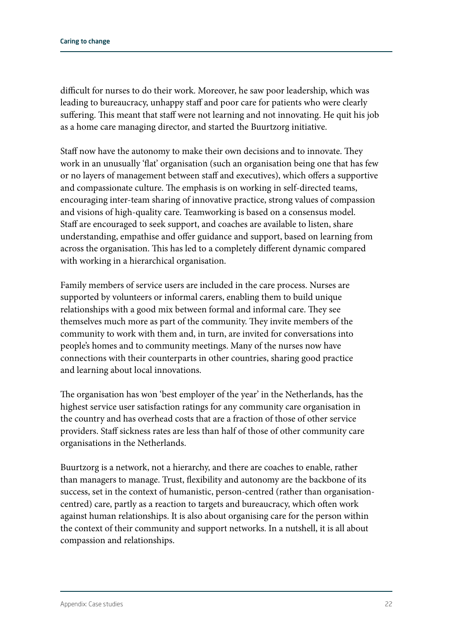difficult for nurses to do their work. Moreover, he saw poor leadership, which was leading to bureaucracy, unhappy staff and poor care for patients who were clearly suffering. This meant that staff were not learning and not innovating. He quit his job as a home care managing director, and started the Buurtzorg initiative.

Staff now have the autonomy to make their own decisions and to innovate. They work in an unusually 'flat' organisation (such an organisation being one that has few or no layers of management between staff and executives), which offers a supportive and compassionate culture. The emphasis is on working in self-directed teams, encouraging inter-team sharing of innovative practice, strong values of compassion and visions of high-quality care. Teamworking is based on a consensus model. Staff are encouraged to seek support, and coaches are available to listen, share understanding, empathise and offer guidance and support, based on learning from across the organisation. This has led to a completely different dynamic compared with working in a hierarchical organisation.

Family members of service users are included in the care process. Nurses are supported by volunteers or informal carers, enabling them to build unique relationships with a good mix between formal and informal care. They see themselves much more as part of the community. They invite members of the community to work with them and, in turn, are invited for conversations into people's homes and to community meetings. Many of the nurses now have connections with their counterparts in other countries, sharing good practice and learning about local innovations.

The organisation has won 'best employer of the year' in the Netherlands, has the highest service user satisfaction ratings for any community care organisation in the country and has overhead costs that are a fraction of those of other service providers. Staff sickness rates are less than half of those of other community care organisations in the Netherlands.

Buurtzorg is a network, not a hierarchy, and there are coaches to enable, rather than managers to manage. Trust, flexibility and autonomy are the backbone of its success, set in the context of humanistic, person-centred (rather than organisationcentred) care, partly as a reaction to targets and bureaucracy, which often work against human relationships. It is also about organising care for the person within the context of their community and support networks. In a nutshell, it is all about compassion and relationships.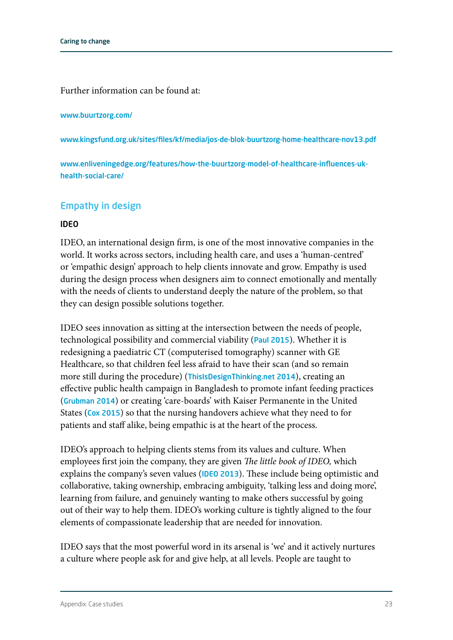Further information can be found at:

#### www.buurtzorg.com/

www.kingsfund.org.uk/sites/files/kf/media/jos-de-blok-buurtzorg-home-healthcare-nov13.pdf

www.enliveningedge.org/features/how-the-buurtzorg-model-of-healthcare-influences-ukhealth-social-care/

### Empathy in design

#### IDEO

IDEO, an international design firm, is one of the most innovative companies in the world. It works across sectors, including health care, and uses a 'human-centred' or 'empathic design' approach to help clients innovate and grow. Empathy is used during the design process when designers aim to connect emotionally and mentally with the needs of clients to understand deeply the nature of the problem, so that they can design possible solutions together.

IDEO sees innovation as sitting at the intersection between the needs of people, technological possibility and commercial viability ([Paul 2015](http://knote.com/2015/02/11/whats-big-ideo-designing-success)). Whether it is redesigning a paediatric CT (computerised tomography) scanner with GE Healthcare, so that children feel less afraid to have their scan (and so remain more still during the procedure) ([ThisIsDesignThinking.net 2014](http://thisisdesignthinking.net/2014/12/changing-experiences-through-empathy-ge-healthcares-adventure-series/)), creating an effective public health campaign in Bangladesh to promote infant feeding practices ([Grubman](https://challenges.openideo.com/challenge/zero-to-five/research/designing-communication-on-child-feeding-in-bangladesh) 2014) or creating 'care-boards' with Kaiser Permanente in the United States ([Cox 2015](http://www.researchgate.net/publication/281408556_Design_Thinking_in_Healthcare)) so that the nursing handovers achieve what they need to for patients and staff alike, being empathic is at the heart of the process.

IDEO's approach to helping clients stems from its values and culture. When employees first join the company, they are given *The little book of IDEO,* which explains the company's seven values ([IDEO 2013](https://lboi.ideo.com/peopley.html#beoptimistic)). These include being optimistic and collaborative, taking ownership, embracing ambiguity, 'talking less and doing more', learning from failure, and genuinely wanting to make others successful by going out of their way to help them. IDEO's working culture is tightly aligned to the four elements of compassionate leadership that are needed for innovation.

IDEO says that the most powerful word in its arsenal is 'we' and it actively nurtures a culture where people ask for and give help, at all levels. People are taught to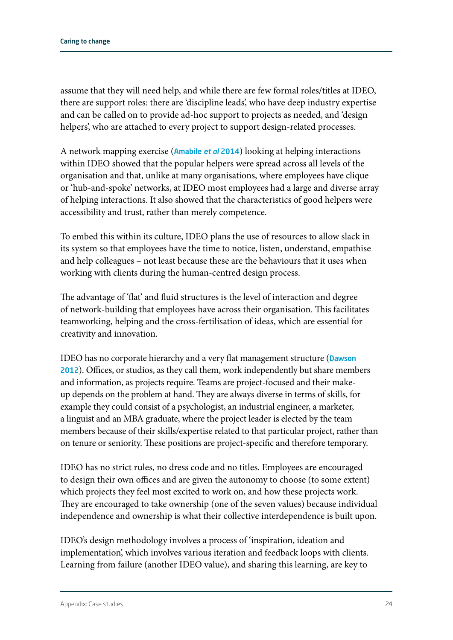assume that they will need help, and while there are few formal roles/titles at IDEO, there are support roles: there are 'discipline leads', who have deep industry expertise and can be called on to provide ad-hoc support to projects as needed, and 'design helpers', who are attached to every project to support design-related processes.

A network mapping exercise ([Amabile](https://hbr.org/2014/01/ideos-culture-of-helping) *et al* 2014) looking at helping interactions within IDEO showed that the popular helpers were spread across all levels of the organisation and that, unlike at many organisations, where employees have clique or 'hub-and-spoke' networks, at IDEO most employees had a large and diverse array of helping interactions. It also showed that the characteristics of good helpers were accessibility and trust, rather than merely competence.

To embed this within its culture, IDEO plans the use of resources to allow slack in its system so that employees have the time to notice, listen, understand, empathise and help colleagues – not least because these are the behaviours that it uses when working with clients during the human-centred design process.

The advantage of 'flat' and fluid structures is the level of interaction and degree of network-building that employees have across their organisation. This facilitates teamworking, helping and the cross-fertilisation of ideas, which are essential for creativity and innovation.

IDEO has no corporate hierarchy and a very flat management structure (Dawson [2012](https://daredreamermag.com/2012/05/28/teamwork-and-innovation-the-ideo-way/)). Offices, or studios, as they call them, work independently but share members and information, as projects require. Teams are project-focused and their makeup depends on the problem at hand. They are always diverse in terms of skills, for example they could consist of a psychologist, an industrial engineer, a marketer, a linguist and an MBA graduate, where the project leader is elected by the team members because of their skills/expertise related to that particular project, rather than on tenure or seniority. These positions are project-specific and therefore temporary.

IDEO has no strict rules, no dress code and no titles. Employees are encouraged to design their own offices and are given the autonomy to choose (to some extent) which projects they feel most excited to work on, and how these projects work. They are encouraged to take ownership (one of the seven values) because individual independence and ownership is what their collective interdependence is built upon.

IDEO's design methodology involves a process of 'inspiration, ideation and implementation', which involves various iteration and feedback loops with clients. Learning from failure (another IDEO value), and sharing this learning, are key to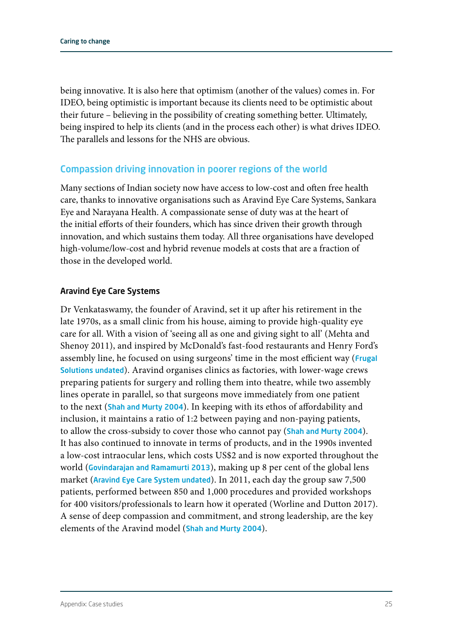being innovative. It is also here that optimism (another of the values) comes in. For IDEO, being optimistic is important because its clients need to be optimistic about their future – believing in the possibility of creating something better. Ultimately, being inspired to help its clients (and in the process each other) is what drives IDEO. The parallels and lessons for the NHS are obvious.

### Compassion driving innovation in poorer regions of the world

Many sections of Indian society now have access to low-cost and often free health care, thanks to innovative organisations such as Aravind Eye Care Systems, Sankara Eye and Narayana Health. A compassionate sense of duty was at the heart of the initial efforts of their founders, which has since driven their growth through innovation, and which sustains them today. All three organisations have developed high-volume/low-cost and hybrid revenue models at costs that are a fraction of those in the developed world.

#### Aravind Eye Care Systems

Dr Venkataswamy, the founder of Aravind, set it up after his retirement in the late 1970s, as a small clinic from his house, aiming to provide high-quality eye care for all. With a vision of 'seeing all as one and giving sight to all' (Mehta and Shenoy 2011), and inspired by McDonald's fast-food restaurants and Henry Ford's assembly line, he focused on using surgeons' time in the most efficient way (Frugal [Solutions undated](http://www.frugalsolutions.org/More/Eye-surgery-on-an-assembly-line.aspx)). Aravind organises clinics as factories, with lower-wage crews preparing patients for surgery and rolling them into theatre, while two assembly lines operate in parallel, so that surgeons move immediately from one patient to the next ([Shah and Murty 2004](http://www.iimb.ernet.in/publications/review/september2004/compassionate-highquality-healthcare)). In keeping with its ethos of affordability and inclusion, it maintains a ratio of 1:2 between paying and non-paying patients, to allow the cross-subsidy to cover those who cannot pay ([Shah and Murty 2004](http://www.iimb.ernet.in/publications/review/september2004/compassionate-highquality-healthcare)). It has also continued to innovate in terms of products, and in the 1990s invented a low-cost intraocular lens, which costs US\$2 and is now exported throughout the world ([Govindarajan and Ramamurti 2013](https://hbr.org/2013/11/delivering-world-class-health-care-affordably)), making up 8 per cent of the global lens market ([Aravind Eye Care System undated](http://www.aravind.org/default/servicescontent/Aurolab)). In 2011, each day the group saw 7,500 patients, performed between 850 and 1,000 procedures and provided workshops for 400 visitors/professionals to learn how it operated (Worline and Dutton 2017). A sense of deep compassion and commitment, and strong leadership, are the key elements of the Aravind model ([Shah and Murty 2004](http://www.iimb.ernet.in/publications/review/september2004/compassionate-highquality-healthcare)).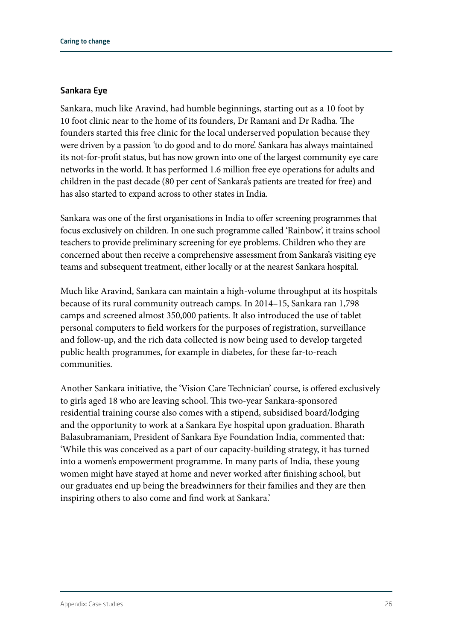#### Sankara Eye

Sankara, much like Aravind, had humble beginnings, starting out as a 10 foot by 10 foot clinic near to the home of its founders, Dr Ramani and Dr Radha. The founders started this free clinic for the local underserved population because they were driven by a passion 'to do good and to do more'. Sankara has always maintained its not-for-profit status, but has now grown into one of the largest community eye care networks in the world. It has performed 1.6 million free eye operations for adults and children in the past decade (80 per cent of Sankara's patients are treated for free) and has also started to expand across to other states in India.

Sankara was one of the first organisations in India to offer screening programmes that focus exclusively on children. In one such programme called 'Rainbow', it trains school teachers to provide preliminary screening for eye problems. Children who they are concerned about then receive a comprehensive assessment from Sankara's visiting eye teams and subsequent treatment, either locally or at the nearest Sankara hospital.

Much like Aravind, Sankara can maintain a high-volume throughput at its hospitals because of its rural community outreach camps. In 2014–15, Sankara ran 1,798 camps and screened almost 350,000 patients. It also introduced the use of tablet personal computers to field workers for the purposes of registration, surveillance and follow-up, and the rich data collected is now being used to develop targeted public health programmes, for example in diabetes, for these far-to-reach communities.

Another Sankara initiative, the 'Vision Care Technician' course, is offered exclusively to girls aged 18 who are leaving school. This two-year Sankara-sponsored residential training course also comes with a stipend, subsidised board/lodging and the opportunity to work at a Sankara Eye hospital upon graduation. Bharath Balasubramaniam, President of Sankara Eye Foundation India, commented that: 'While this was conceived as a part of our capacity-building strategy, it has turned into a women's empowerment programme. In many parts of India, these young women might have stayed at home and never worked after finishing school, but our graduates end up being the breadwinners for their families and they are then inspiring others to also come and find work at Sankara.'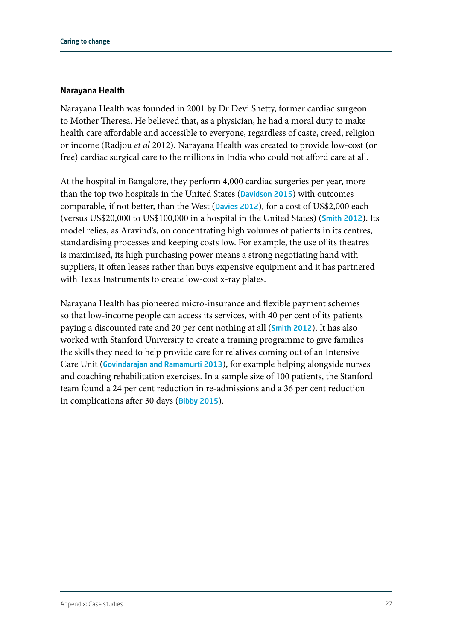#### Narayana Health

Narayana Health was founded in 2001 by Dr Devi Shetty, former cardiac surgeon to Mother Theresa. He believed that, as a physician, he had a moral duty to make health care affordable and accessible to everyone, regardless of caste, creed, religion or income (Radjou *et al* 2012). Narayana Health was created to provide low-cost (or free) cardiac surgical care to the millions in India who could not afford care at all.

At the hospital in Bangalore, they perform 4,000 cardiac surgeries per year, more than the top two hospitals in the United States ([Davidson 2015](http://repository.upenn.edu/wharton_research_scholars/127/)) with outcomes comparable, if not better, than the West ([Davies 2012](http://www.bmj.com/content/345/bmj.e6637)), for a cost of US\$2,000 each (versus US\$20,000 to US\$100,000 in a hospital in the United States) ([Smith 2012](http://blogs.bmj.com/bmj/2012/05/08/richard-smith-can-devi-shetty-make-health-care-affordable-across-the-globe/)). Its model relies, as Aravind's, on concentrating high volumes of patients in its centres, standardising processes and keeping costs low. For example, the use of its theatres is maximised, its high purchasing power means a strong negotiating hand with suppliers, it often leases rather than buys expensive equipment and it has partnered with Texas Instruments to create low-cost x-ray plates.

Narayana Health has pioneered micro-insurance and flexible payment schemes so that low-income people can access its services, with 40 per cent of its patients paying a discounted rate and 20 per cent nothing at all ([Smith 2012](http://blogs.bmj.com/bmj/2012/05/08/richard-smith-can-devi-shetty-make-health-care-affordable-across-the-globe/)). It has also worked with Stanford University to create a training programme to give families the skills they need to help provide care for relatives coming out of an Intensive Care Unit ([Govindarajan and Ramamurti 2013](https://hbr.org/2013/11/delivering-world-class-health-care-affordably)), for example helping alongside nurses and coaching rehabilitation exercises. In a sample size of 100 patients, the Stanford team found a 24 per cent reduction in re-admissions and a 36 per cent reduction in complications after 30 days ([Bibby 2015](http://www.health.org.uk/blog/unleashing-caring-potential-families-taking-innovation-india-us)).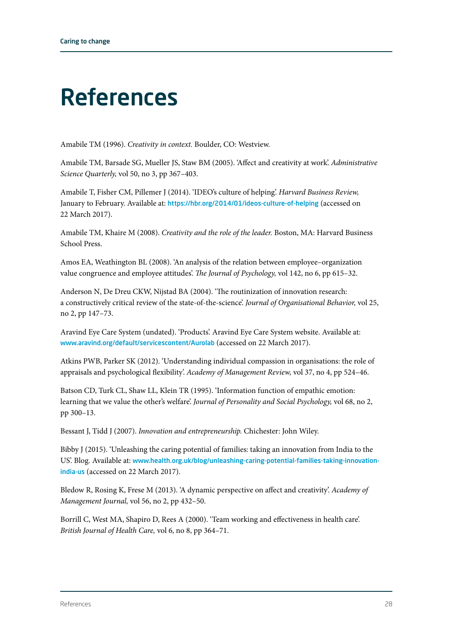### References

Amabile TM (1996). *Creativity in context.* Boulder, CO: Westview.

Amabile TM, Barsade SG, Mueller JS, Staw BM (2005). 'Affect and creativity at work'. *Administrative Science Quarterly,* vol 50, no 3, pp 367–403.

Amabile T, Fisher CM, Pillemer J (2014). 'IDEO's culture of helping'. *Harvard Business Review,*  January to February. Available at: https:/[/hbr.org/2014/01/ideos-culture-of-helping](http://hbr.org/2014/01/ideos-culture-of-helping) (accessed on 22 March 2017).

Amabile TM, Khaire M (2008). *Creativity and the role of the leader.* Boston, MA: Harvard Business School Press.

Amos EA, Weathington BL (2008). 'An analysis of the relation between employee–organization value congruence and employee attitudes'. *The Journal of Psychology,* vol 142, no 6, pp 615–32.

Anderson N, De Dreu CKW, Nijstad BA (2004). 'The routinization of innovation research: a constructively critical review of the state-of-the-science'. *Journal of Organisational Behavior,* vol 25, no 2, pp 147–73.

Aravind Eye Care System (undated). 'Products'. Aravind Eye Care System website. Available at: [www.aravind.org/default/servicescontent/Aurolab](http://www.aravind.org/default/servicescontent/Aurolab) (accessed on 22 March 2017).

Atkins PWB, Parker SK (2012). 'Understanding individual compassion in organisations: the role of appraisals and psychological flexibility'. *Academy of Management Review,* vol 37, no 4, pp 524–46.

Batson CD, Turk CL, Shaw LL, Klein TR (1995). 'Information function of empathic emotion: learning that we value the other's welfare'. *Journal of Personality and Social Psychology,* vol 68, no 2, pp 300–13.

Bessant J, Tidd J (2007). *Innovation and entrepreneurship.* Chichester: John Wiley.

Bibby J (2015). 'Unleashing the caring potential of families: taking an innovation from India to the US'. Blog. Available at: [www.health.org.uk/blog/unleashing-caring-potential-families-taking-innovation](http://www.health.org.uk/blog/unleashing-caring-potential-families-taking-innovation-india-us)[india-us](http://www.health.org.uk/blog/unleashing-caring-potential-families-taking-innovation-india-us) (accessed on 22 March 2017).

Bledow R, Rosing K, Frese M (2013). 'A dynamic perspective on affect and creativity'. *Academy of Management Journal,* vol 56, no 2, pp 432–50.

Borrill C, West MA, Shapiro D, Rees A (2000). 'Team working and effectiveness in health care'. *British Journal of Health Care,* vol 6, no 8, pp 364–71.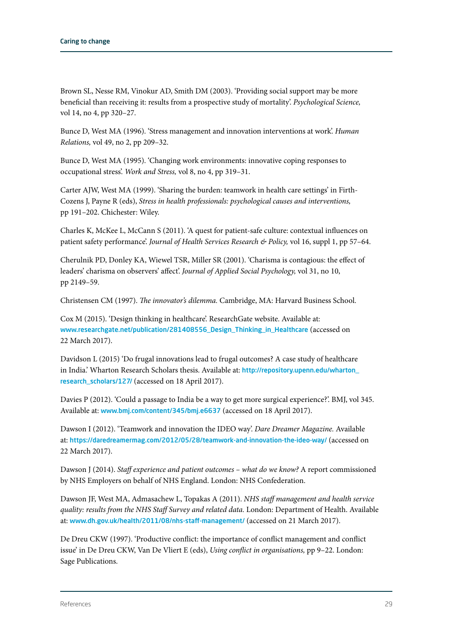Brown SL, Nesse RM, Vinokur AD, Smith DM (2003). 'Providing social support may be more beneficial than receiving it: results from a prospective study of mortality'. *Psychological Science,*  vol 14, no 4, pp 320–27.

Bunce D, West MA (1996). 'Stress management and innovation interventions at work'. *Human Relations,* vol 49, no 2, pp 209–32.

Bunce D, West MA (1995). 'Changing work environments: innovative coping responses to occupational stress'. *Work and Stress,* vol 8, no 4, pp 319–31.

Carter AJW, West MA (1999). 'Sharing the burden: teamwork in health care settings' in Firth-Cozens J, Payne R (eds), *Stress in health professionals: psychological causes and interventions,* pp 191–202. Chichester: Wiley.

Charles K, McKee L, McCann S (2011). 'A quest for patient-safe culture: contextual influences on patient safety performance'. *Journal of Health Services Research & Policy,* vol 16, suppl 1, pp 57–64.

Cherulnik PD, Donley KA, Wiewel TSR, Miller SR (2001). 'Charisma is contagious: the effect of leaders' charisma on observers' affect'. *Journal of Applied Social Psychology,* vol 31, no 10, pp 2149–59.

Christensen CM (1997). *The innovator's dilemma.* Cambridge, MA: Harvard Business School.

Cox M (2015). 'Design thinking in healthcare'. ResearchGate website. Available at: [www.researchgate.net/publication/281408556\\_Design\\_Thinking\\_in\\_Healthcare](http://www.researchgate.net/publication/281408556_Design_Thinking_in_Healthcare) (accessed on 22 March 2017).

Davidson L (2015) 'Do frugal innovations lead to frugal outcomes? A case study of healthcare in India.' Wharton Research Scholars thesis. Available at: [http://repository.upenn.edu/wharton\\_](http://repository.upenn.edu/wharton_research_scholars/127/) [research\\_scholars/127/](http://repository.upenn.edu/wharton_research_scholars/127/) (accessed on 18 April 2017).

Davies P (2012). 'Could a passage to India be a way to get more surgical experience?'. BMJ, vol 345. Available at: [www.bmj.com/content/345/bmj.e6637](http://www.bmj.com/content/345/bmj.e6637) (accessed on 18 April 2017).

Dawson I (2012). 'Teamwork and innovation the IDEO way'. *Dare Dreamer Magazine.* Available at: <https://daredreamermag.com/2012/05/28/teamwork-and-innovation-the-ideo-way/>(accessed on 22 March 2017).

Dawson J (2014). *Staff experience and patient outcomes – what do we know?* A report commissioned by NHS Employers on behalf of NHS England. London: NHS Confederation.

Dawson JF, West MA, Admasachew L, Topakas A (2011). *NHS staff management and health service quality: results from the NHS Staff Survey and related data.* London: Department of Health. Available at: [www.dh.gov.uk/health/2011/08/nhs-staff-management/](http://www.dh.gov.uk/health/2011/08/nhs-staff-management/) (accessed on 21 March 2017).

De Dreu CKW (1997). 'Productive conflict: the importance of conflict management and conflict issue' in De Dreu CKW, Van De Vliert E (eds), *Using conflict in organisations,* pp 9–22. London: Sage Publications.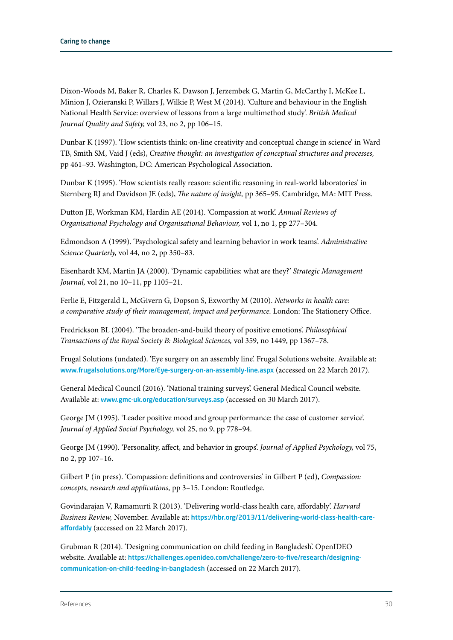Dixon-Woods M, Baker R, Charles K, Dawson J, Jerzembek G, Martin G, McCarthy I, McKee L, Minion J, Ozieranski P, Willars J, Wilkie P, West M (2014). 'Culture and behaviour in the English National Health Service: overview of lessons from a large multimethod study'. *British Medical Journal Quality and Safety,* vol 23, no 2, pp 106–15.

Dunbar K (1997). 'How scientists think: on-line creativity and conceptual change in science' in Ward TB, Smith SM, Vaid J (eds), *Creative thought: an investigation of conceptual structures and processes,* pp 461–93. Washington, DC: American Psychological Association.

Dunbar K (1995). 'How scientists really reason: scientific reasoning in real-world laboratories' in Sternberg RJ and Davidson JE (eds), *The nature of insight,* pp 365–95. Cambridge, MA: MIT Press.

Dutton JE, Workman KM, Hardin AE (2014). 'Compassion at work'. *Annual Reviews of Organisational Psychology and Organisational Behaviour,* vol 1, no 1, pp 277–304.

Edmondson A (1999). 'Psychological safety and learning behavior in work teams'. *Administrative Science Quarterly,* vol 44, no 2, pp 350–83.

Eisenhardt KM, Martin JA (2000). 'Dynamic capabilities: what are they?' *Strategic Management Journal,* vol 21, no 10–11, pp 1105–21.

Ferlie E, Fitzgerald L, McGivern G, Dopson S, Exworthy M (2010). *Networks in health care: a comparative study of their management, impact and performance.* London: The Stationery Office.

Fredrickson BL (2004). 'The broaden-and-build theory of positive emotions'. *Philosophical Transactions of the Royal Society B: Biological Sciences,* vol 359, no 1449, pp 1367–78.

Frugal Solutions (undated). 'Eye surgery on an assembly line'. Frugal Solutions website. Available at: [www.frugalsolutions.org/More/Eye-surgery-on-an-assembly-line.aspx](http://www.frugalsolutions.org/More/Eye-surgery-on-an-assembly-line.aspx) (accessed on 22 March 2017).

General Medical Council (2016). 'National training surveys'. General Medical Council website. Available at: [www.gmc-uk.org/education/surveys.asp](http://www.gmc-uk.org/education/surveys.asp) (accessed on 30 March 2017).

George JM (1995). 'Leader positive mood and group performance: the case of customer service'. *Journal of Applied Social Psychology,* vol 25, no 9, pp 778–94.

George JM (1990). 'Personality, affect, and behavior in groups'. *Journal of Applied Psychology,* vol 75, no 2, pp 107–16.

Gilbert P (in press). 'Compassion: definitions and controversies' in Gilbert P (ed), *Compassion: concepts, research and applications,* pp 3–15. London: Routledge.

Govindarajan V, Ramamurti R (2013). 'Delivering world-class health care, affordably'. *Harvard Business Review,* November. Available at: [https://hbr.org/2013/11/delivering-world-class-health-care](https://hbr.org/2013/11/delivering-world-class-health-care-affordably)[affordably](https://hbr.org/2013/11/delivering-world-class-health-care-affordably) (accessed on 22 March 2017).

Grubman R (2014). 'Designing communication on child feeding in Bangladesh'. OpenIDEO website. Available at: [https://challenges.openideo.com/challenge/zero-to-five/research/designing](https://challenges.openideo.com/challenge/zero-to-five/research/designing-communication-on-child-feeding-in-bangladesh)[communication-on-child-feeding-in-bangladesh](https://challenges.openideo.com/challenge/zero-to-five/research/designing-communication-on-child-feeding-in-bangladesh) (accessed on 22 March 2017).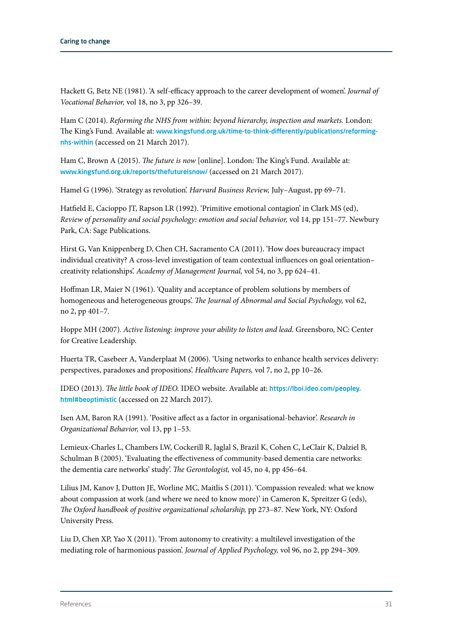Hackett G, Betz NE (1981). 'A self-efficacy approach to the career development of women'. *Journal of Vocational Behavior,* vol 18, no 3, pp 326–39.

Ham C (2014). *Reforming the NHS from within: beyond hierarchy, inspection and markets.* London: The King's Fund. Available at: [www.kingsfund.org.uk/time-to-think-differently/publications/reforming](http://www.kingsfund.org.uk/time-to-think-differently/publications/reforming-nhs-within)[nhs-within](http://www.kingsfund.org.uk/time-to-think-differently/publications/reforming-nhs-within) (accessed on 21 March 2017).

Ham C, Brown A (2015). *The future is now* [online]. London: The King's Fund. Available at: [www.kingsfund.org.uk/reports/thefutureisnow/](http://www.kingsfund.org.uk/reports/thefutureisnow/) (accessed on 21 March 2017).

Hamel G (1996). 'Strategy as revolution'. *Harvard Business Review,* July–August, pp 69–71.

Hatfield E, Cacioppo JT, Rapson LR (1992). 'Primitive emotional contagion' in Clark MS (ed), *Review of personality and social psychology: emotion and social behavior,* vol 14, pp 151–77. Newbury Park, CA: Sage Publications.

Hirst G, Van Knippenberg D, Chen CH, Sacramento CA (2011). 'How does bureaucracy impact individual creativity? A cross-level investigation of team contextual influences on goal orientation– creativity relationships'. *Academy of Management Journal,* vol 54, no 3, pp 624–41.

Hoffman LR, Maier N (1961). 'Quality and acceptance of problem solutions by members of homogeneous and heterogeneous groups'. *The Journal of Abnormal and Social Psychology,* vol 62, no 2, pp 401–7.

Hoppe MH (2007). *Active listening: improve your ability to listen and lead.* Greensboro, NC: Center for Creative Leadership.

Huerta TR, Casebeer A, Vanderplaat M (2006). 'Using networks to enhance health services delivery: perspectives, paradoxes and propositions'. *Healthcare Papers,* vol 7, no 2, pp 10–26.

IDEO (2013). *The little book of IDEO.* IDEO website. Available at: [https://lboi.ideo.com/peopley.](https://lboi.ideo.com/peopley.html#beoptimistic) [html#beoptimistic](https://lboi.ideo.com/peopley.html#beoptimistic) (accessed on 22 March 2017).

Isen AM, Baron RA (1991). 'Positive affect as a factor in organisational-behavior'. *Research in Organizational Behavior,* vol 13, pp 1–53.

Lemieux-Charles L, Chambers LW, Cockerill R, Jaglal S, Brazil K, Cohen C, LeClair K, Dalziel B, Schulman B (2005). 'Evaluating the effectiveness of community-based dementia care networks: the dementia care networks' study'. *The Gerontologist,* vol 45, no 4, pp 456–64.

Lilius JM, Kanov J, Dutton JE, Worline MC, Maitlis S (2011). 'Compassion revealed: what we know about compassion at work (and where we need to know more)' in Cameron K, Spreitzer G (eds), *The Oxford handbook of positive organizational scholarship,* pp 273–87*.* New York, NY: Oxford University Press.

Liu D, Chen XP, Yao X (2011). 'From autonomy to creativity: a multilevel investigation of the mediating role of harmonious passion'. *Journal of Applied Psychology,* vol 96, no 2, pp 294–309.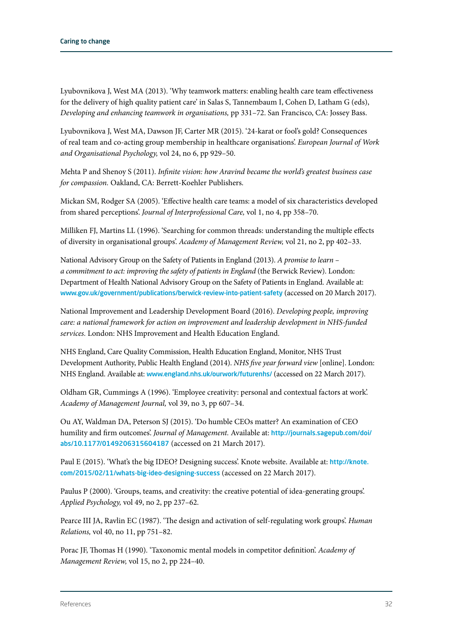Lyubovnikova J, West MA (2013). 'Why teamwork matters: enabling health care team effectiveness for the delivery of high quality patient care' in Salas S, Tannembaum I, Cohen D, Latham G (eds), *Developing and enhancing teamwork in organisations,* pp 331–72. San Francisco, CA: Jossey Bass.

Lyubovnikova J, West MA, Dawson JF, Carter MR (2015). '24-karat or fool's gold? Consequences of real team and co-acting group membership in healthcare organisations'. *European Journal of Work and Organisational Psychology,* vol 24, no 6, pp 929–50.

Mehta P and Shenoy S (2011). *Infinite vision: how Aravind became the world's greatest business case for compassion.* Oakland, CA: Berrett-Koehler Publishers.

Mickan SM, Rodger SA (2005). 'Effective health care teams: a model of six characteristics developed from shared perceptions'. *Journal of Interprofessional Care,* vol 1, no 4, pp 358–70.

Milliken FJ, Martins LL (1996). 'Searching for common threads: understanding the multiple effects of diversity in organisational groups'. *Academy of Management Review,* vol 21, no 2, pp 402–33.

National Advisory Group on the Safety of Patients in England (2013). *A promise to learn – a commitment to act: improving the safety of patients in England* (the Berwick Review). London: Department of Health National Advisory Group on the Safety of Patients in England. Available at: [www.gov.uk/government/publications/berwick-review-into-patient-safety](http://www.gov.uk/government/publications/berwick-review-into-patient-safety) (accessed on 20 March 2017).

National Improvement and Leadership Development Board (2016). *Developing people, improving care: a national framework for action on improvement and leadership development in NHS-funded services.* London: NHS Improvement and Health Education England.

NHS England, Care Quality Commission, Health Education England, Monitor, NHS Trust Development Authority, Public Health England (2014). *NHS five year forward view* [online]. London: NHS England. Available at: [www.england.nhs.uk/ourwork/futurenhs/](http://www.england.nhs.uk/ourwork/futurenhs/) (accessed on 22 March 2017).

Oldham GR, Cummings A (1996). 'Employee creativity: personal and contextual factors at work'. *Academy of Management Journal,* vol 39, no 3, pp 607–34.

Ou AY, Waldman DA, Peterson SJ (2015). 'Do humble CEOs matter? An examination of CEO humility and firm outcomes'. *Journal of Management.* Available at: [http://journals.sagepub.com/doi/](http://journals.sagepub.com/doi/abs/10.1177/0149206315604187) [abs/10.1177/0149206315604187](http://journals.sagepub.com/doi/abs/10.1177/0149206315604187) (accessed on 21 March 2017).

Paul E (2015). 'What's the big IDEO? Designing success'. Knote website. Available at: [http://knote.](http://knote.com/2015/02/11/whats-big-ideo-designing-success) [com/2015/02/11/whats-big-ideo-designing-success](http://knote.com/2015/02/11/whats-big-ideo-designing-success) (accessed on 22 March 2017).

Paulus P (2000). 'Groups, teams, and creativity: the creative potential of idea‐generating groups'. *Applied Psychology,* vol 49, no 2, pp 237–62.

Pearce III JA, Ravlin EC (1987). 'The design and activation of self-regulating work groups'. *Human Relations,* vol 40, no 11, pp 751–82.

Porac JF, Thomas H (1990). 'Taxonomic mental models in competitor definition'. *Academy of Management Review,* vol 15, no 2, pp 224–40.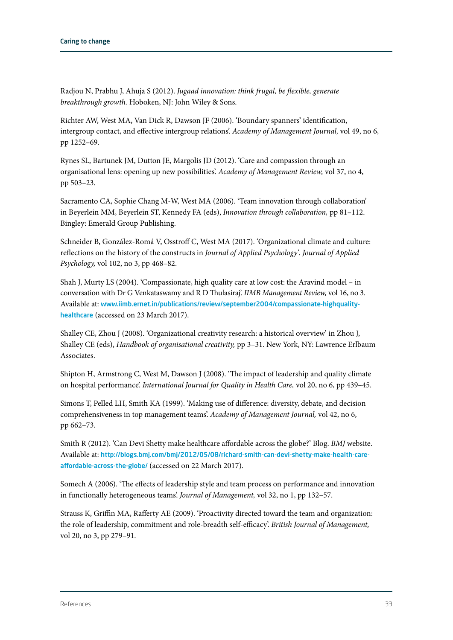Radjou N, Prabhu J, Ahuja S (2012). *Jugaad innovation: think frugal, be flexible, generate breakthrough growth.* Hoboken, NJ: John Wiley & Sons.

Richter AW, West MA, Van Dick R, Dawson JF (2006). 'Boundary spanners' identification, intergroup contact, and effective intergroup relations'. *Academy of Management Journal,* vol 49, no 6, pp 1252–69.

Rynes SL, Bartunek JM, Dutton JE, Margolis JD (2012). 'Care and compassion through an organisational lens: opening up new possibilities'. *Academy of Management Review,* vol 37, no 4, pp 503–23.

Sacramento CA, Sophie Chang M-W, West MA (2006). 'Team innovation through collaboration' in Beyerlein MM, Beyerlein ST, Kennedy FA (eds), *Innovation through collaboration,* pp 81–112. Bingley: Emerald Group Publishing.

Schneider B, González-Romá V, Osstroff C, West MA (2017). 'Organizational climate and culture: reflections on the history of the constructs in *Journal of Applied Psychology'. Journal of Applied Psychology,* vol 102, no 3, pp 468–82.

Shah J, Murty LS (2004). 'Compassionate, high quality care at low cost: the Aravind model – in conversation with Dr G Venkataswamy and R D Thulasiraj'. *IIMB Management Review,* vol 16, no 3. Available at: [www.iimb.ernet.in/publications/review/september2004/compassionate-highquality](http://www.iimb.ernet.in/publications/review/september2004/compassionate-highquality-healthcare)[healthcare](http://www.iimb.ernet.in/publications/review/september2004/compassionate-highquality-healthcare) (accessed on 23 March 2017).

Shalley CE, Zhou J (2008). 'Organizational creativity research: a historical overview' in Zhou J, Shalley CE (eds), *Handbook of organisational creativity,* pp 3–31. New York, NY: Lawrence Erlbaum Associates.

Shipton H, Armstrong C, West M, Dawson J (2008). 'The impact of leadership and quality climate on hospital performance'. *International Journal for Quality in Health Care,* vol 20, no 6, pp 439–45.

Simons T, Pelled LH, Smith KA (1999). 'Making use of difference: diversity, debate, and decision comprehensiveness in top management teams'. *Academy of Management Journal,* vol 42, no 6, pp 662–73.

Smith R (2012). 'Can Devi Shetty make healthcare affordable across the globe?' Blog. *BMJ* website. Available at: [http://blogs.bmj.com/bmj/2012/05/08/richard-smith-can-devi-shetty-make-health-care](http://blogs.bmj.com/bmj/2012/05/08/richard-smith-can-devi-shetty-make-health-care-affordable-across-the-globe/)[affordable-across-the-globe/](http://blogs.bmj.com/bmj/2012/05/08/richard-smith-can-devi-shetty-make-health-care-affordable-across-the-globe/) (accessed on 22 March 2017).

Somech A (2006). 'The effects of leadership style and team process on performance and innovation in functionally heterogeneous teams'. *Journal of Management,* vol 32, no 1, pp 132–57.

Strauss K, Griffin MA, Rafferty AE (2009). 'Proactivity directed toward the team and organization: the role of leadership, commitment and role‐breadth self‐efficacy'. *British Journal of Management,*  vol 20, no 3, pp 279–91.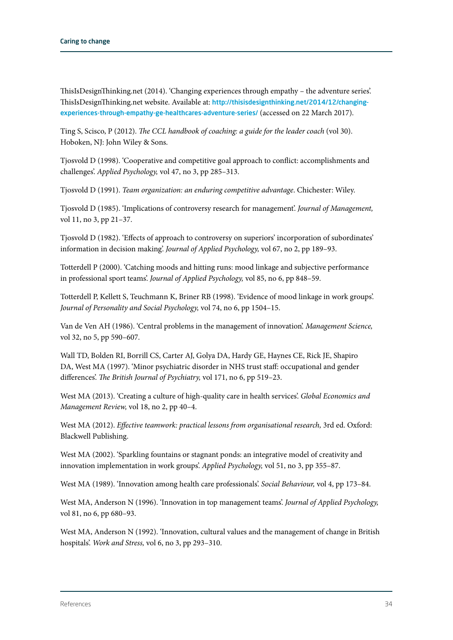ThisIsDesignThinking.net (2014). 'Changing experiences through empathy – the adventure series'. ThisIsDesignThinking.net website. Available at: [http://thisisdesignthinking.net/2014/12/changing](http://thisisdesignthinking.net/2014/12/changing-experiences-through-empathy-ge-healthcares-adventure-series/)[experiences-through-empathy-ge-healthcares-adventure-series/](http://thisisdesignthinking.net/2014/12/changing-experiences-through-empathy-ge-healthcares-adventure-series/) (accessed on 22 March 2017).

Ting S, Scisco, P (2012). *The CCL handbook of coaching: a guide for the leader coach* (vol 30). Hoboken, NJ: John Wiley & Sons.

Tjosvold D (1998). 'Cooperative and competitive goal approach to conflict: accomplishments and challenges'. *Applied Psychology,* vol 47, no 3, pp 285–313.

Tjosvold D (1991). *Team organization: an enduring competitive advantage*. Chichester: Wiley.

Tjosvold D (1985). 'Implications of controversy research for management'. *Journal of Management,* vol 11, no 3, pp 21-37.

Tjosvold D (1982). 'Effects of approach to controversy on superiors' incorporation of subordinates' information in decision making'. *Journal of Applied Psychology,* vol 67, no 2, pp 189–93.

Totterdell P (2000). 'Catching moods and hitting runs: mood linkage and subjective performance in professional sport teams'. *Journal of Applied Psychology,* vol 85, no 6, pp 848–59.

Totterdell P, Kellett S, Teuchmann K, Briner RB (1998). 'Evidence of mood linkage in work groups'. *Journal of Personality and Social Psychology,* vol 74, no 6, pp 1504–15.

Van de Ven AH (1986). 'Central problems in the management of innovation'. *Management Science,* vol 32, no 5, pp 590–607.

Wall TD, Bolden RI, Borrill CS, Carter AJ, Golya DA, Hardy GE, Haynes CE, Rick JE, Shapiro DA, West MA (1997). 'Minor psychiatric disorder in NHS trust staff: occupational and gender differences'. *The British Journal of Psychiatry,* vol 171, no 6, pp 519–23.

West MA (2013). 'Creating a culture of high-quality care in health services'. *Global Economics and Management Review,* vol 18, no 2, pp 40–4.

West MA (2012). *Effective teamwork: practical lessons from organisational research*, 3rd ed. Oxford: Blackwell Publishing.

West MA (2002). 'Sparkling fountains or stagnant ponds: an integrative model of creativity and innovation implementation in work groups'. *Applied Psychology,* vol 51, no 3, pp 355–87.

West MA (1989). 'Innovation among health care professionals'. *Social Behaviour,* vol 4, pp 173–84.

West MA, Anderson N (1996). 'Innovation in top management teams'. *Journal of Applied Psychology,* vol 81, no 6, pp 680–93.

West MA, Anderson N (1992). 'Innovation, cultural values and the management of change in British hospitals'. *Work and Stress,* vol 6, no 3, pp 293–310.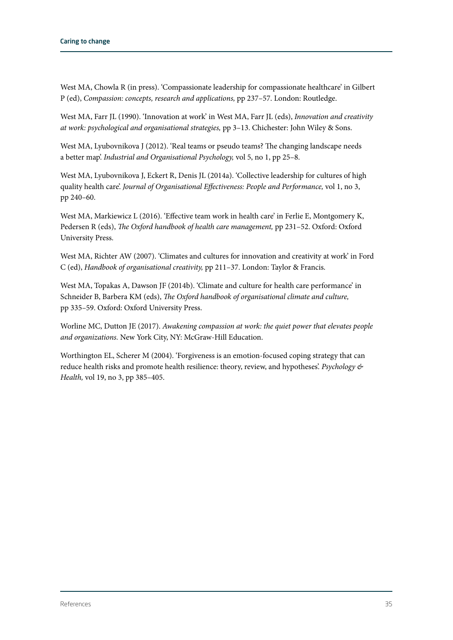West MA, Chowla R (in press). 'Compassionate leadership for compassionate healthcare' in Gilbert P (ed), *Compassion: concepts, research and applications,* pp 237–57. London: Routledge.

West MA, Farr JL (1990). 'Innovation at work' in West MA, Farr JL (eds), *Innovation and creativity at work: psychological and organisational strategies,* pp 3–13. Chichester: John Wiley & Sons.

West MA, Lyubovnikova J (2012). 'Real teams or pseudo teams? The changing landscape needs a better map'. *Industrial and Organisational Psychology,* vol 5, no 1, pp 25–8.

West MA, Lyubovnikova J, Eckert R, Denis JL (2014a). 'Collective leadership for cultures of high quality health care'. *Journal of Organisational Effectiveness: People and Performance,* vol 1, no 3, pp 240–60.

West MA, Markiewicz L (2016). 'Effective team work in health care' in Ferlie E, Montgomery K, Pedersen R (eds), *The Oxford handbook of health care management,* pp 231–52. Oxford: Oxford University Press.

West MA, Richter AW (2007). 'Climates and cultures for innovation and creativity at work' in Ford C (ed), *Handbook of organisational creativity,* pp 211–37. London: Taylor & Francis.

West MA, Topakas A, Dawson JF (2014b). 'Climate and culture for health care performance' in Schneider B, Barbera KM (eds), *The Oxford handbook of organisational climate and culture,* pp 335–59. Oxford: Oxford University Press.

Worline MC, Dutton JE (2017). *Awakening compassion at work: the quiet power that elevates people and organizations.* New York City, NY: McGraw-Hill Education.

Worthington EL, Scherer M (2004). 'Forgiveness is an emotion-focused coping strategy that can reduce health risks and promote health resilience: theory, review, and hypotheses'. *Psychology & Health,* vol 19, no 3, pp 385–405.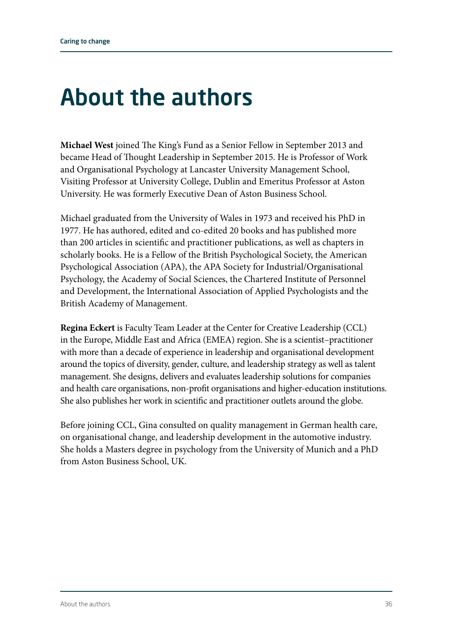### About the authors

**Michael West** joined The King's Fund as a Senior Fellow in September 2013 and became Head of Thought Leadership in September 2015. He is Professor of Work and Organisational Psychology at Lancaster University Management School, Visiting Professor at University College, Dublin and Emeritus Professor at Aston University. He was formerly Executive Dean of Aston Business School.

Michael graduated from the University of Wales in 1973 and received his PhD in 1977. He has authored, edited and co-edited 20 books and has published more than 200 articles in scientific and practitioner publications, as well as chapters in scholarly books. He is a Fellow of the British Psychological Society, the American Psychological Association (APA), the APA Society for Industrial/Organisational Psychology, the Academy of Social Sciences, the Chartered Institute of Personnel and Development, the International Association of Applied Psychologists and the British Academy of Management.

**Regina Eckert** is Faculty Team Leader at the Center for Creative Leadership (CCL) in the Europe, Middle East and Africa (EMEA) region. She is a scientist–practitioner with more than a decade of experience in leadership and organisational development around the topics of diversity, gender, culture, and leadership strategy as well as talent management. She designs, delivers and evaluates leadership solutions for companies and health care organisations, non-profit organisations and higher-education institutions. She also publishes her work in scientific and practitioner outlets around the globe.

Before joining CCL, Gina consulted on quality management in German health care, on organisational change, and leadership development in the automotive industry. She holds a Masters degree in psychology from the University of Munich and a PhD from Aston Business School, UK.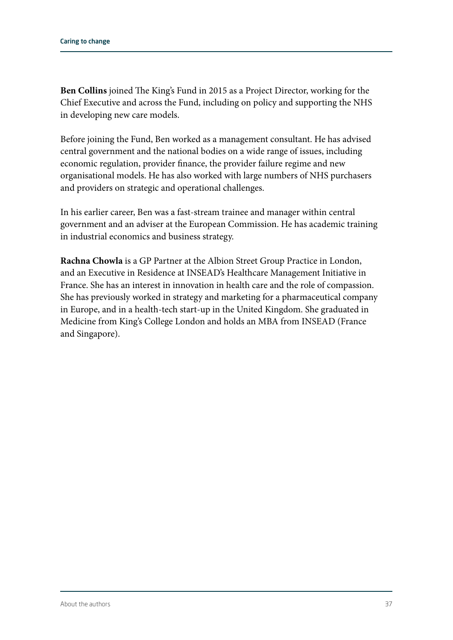**Ben Collins** joined The King's Fund in 2015 as a Project Director, working for the Chief Executive and across the Fund, including on policy and supporting the NHS in developing new care models.

Before joining the Fund, Ben worked as a management consultant. He has advised central government and the national bodies on a wide range of issues, including economic regulation, provider finance, the provider failure regime and new organisational models. He has also worked with large numbers of NHS purchasers and providers on strategic and operational challenges.

In his earlier career, Ben was a fast-stream trainee and manager within central government and an adviser at the European Commission. He has academic training in industrial economics and business strategy.

**Rachna Chowla** is a GP Partner at the Albion Street Group Practice in London, and an Executive in Residence at INSEAD's Healthcare Management Initiative in France. She has an interest in innovation in health care and the role of compassion. She has previously worked in strategy and marketing for a pharmaceutical company in Europe, and in a health-tech start-up in the United Kingdom. She graduated in Medicine from King's College London and holds an MBA from INSEAD (France and Singapore).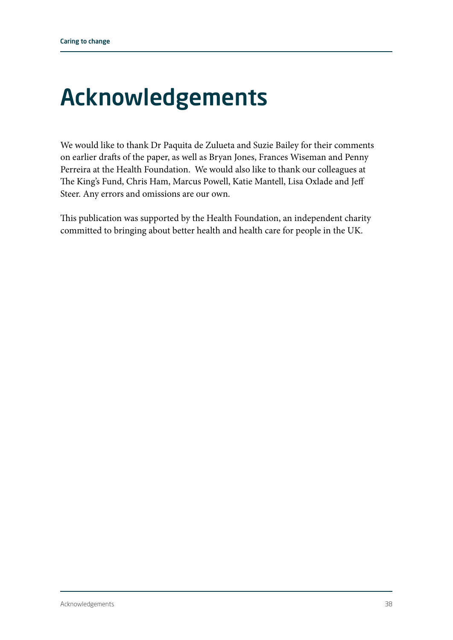### Acknowledgements

We would like to thank Dr Paquita de Zulueta and Suzie Bailey for their comments on earlier drafts of the paper, as well as Bryan Jones, Frances Wiseman and Penny Perreira at the Health Foundation. We would also like to thank our colleagues at The King's Fund, Chris Ham, Marcus Powell, Katie Mantell, Lisa Oxlade and Jeff Steer. Any errors and omissions are our own.

This publication was supported by the Health Foundation, an independent charity committed to bringing about better health and health care for people in the UK.